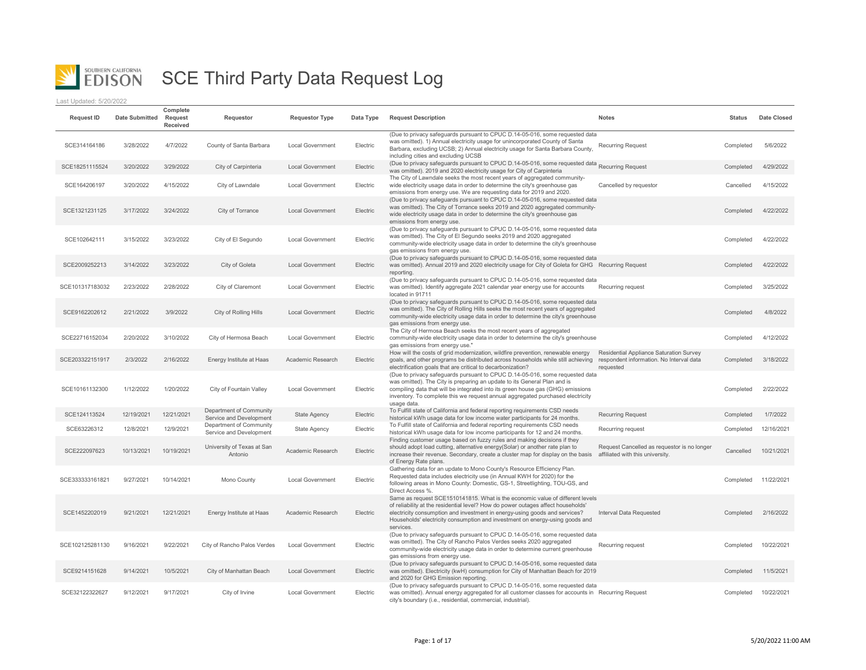

| <b>Request ID</b> | <b>Date Submitted</b> | Complete<br>Request<br>Received | Requestor                                          | <b>Requestor Type</b>   | Data Type | <b>Request Description</b>                                                                                                                                                                                                                                                                                                                   | <b>Notes</b>                                                                                     | <b>Status</b> | Date Closed |
|-------------------|-----------------------|---------------------------------|----------------------------------------------------|-------------------------|-----------|----------------------------------------------------------------------------------------------------------------------------------------------------------------------------------------------------------------------------------------------------------------------------------------------------------------------------------------------|--------------------------------------------------------------------------------------------------|---------------|-------------|
| SCE314164186      | 3/28/2022             | 4/7/2022                        | County of Santa Barbara                            | <b>Local Government</b> | Electric  | (Due to privacy safeguards pursuant to CPUC D.14-05-016, some requested data<br>was omitted). 1) Annual electricity usage for unincorporated County of Santa<br>Barbara, excluding UCSB; 2) Annual electricity usage for Santa Barbara County,<br>including cities and excluding UCSB                                                        | <b>Recurring Request</b>                                                                         | Completed     | 5/6/2022    |
| SCE18251115524    | 3/20/2022             | 3/29/2022                       | City of Carpinteria                                | <b>Local Government</b> | Electric  | (Due to privacy safeguards pursuant to CPUC D.14-05-016, some requested data Recurring Request<br>was omitted). 2019 and 2020 electricity usage for City of Carpinteria                                                                                                                                                                      |                                                                                                  | Completed     | 4/29/2022   |
| SCE164206197      | 3/20/2022             | 4/15/2022                       | City of Lawndale                                   | <b>Local Government</b> | Electric  | The City of Lawndale seeks the most recent years of aggregated community-<br>wide electricity usage data in order to determine the city's greenhouse gas<br>emissions from energy use. We are requesting data for 2019 and 2020.                                                                                                             | Cancelled by requestor                                                                           | Cancelled     | 4/15/2022   |
| SCE1321231125     | 3/17/2022             | 3/24/2022                       | City of Torrance                                   | <b>Local Government</b> | Electric  | (Due to privacy safeguards pursuant to CPUC D.14-05-016, some requested data<br>was omitted). The City of Torrance seeks 2019 and 2020 aggregated community-<br>wide electricity usage data in order to determine the city's greenhouse gas<br>emissions from energy use.                                                                    |                                                                                                  | Completed     | 4/22/2022   |
| SCE102642111      | 3/15/2022             | 3/23/2022                       | City of El Segundo                                 | <b>Local Government</b> | Electric  | (Due to privacy safeguards pursuant to CPUC D.14-05-016, some requested data<br>was omitted). The City of El Segundo seeks 2019 and 2020 aggregated<br>community-wide electricity usage data in order to determine the city's greenhouse<br>gas emissions from energy use.                                                                   |                                                                                                  | Completed     | 4/22/2022   |
| SCE2009252213     | 3/14/2022             | 3/23/2022                       | City of Goleta                                     | <b>Local Government</b> | Electric  | (Due to privacy safeguards pursuant to CPUC D.14-05-016, some requested data<br>was omitted). Annual 2019 and 2020 electricity usage for City of Goleta for GHG Recurring Request<br>reporting.                                                                                                                                              |                                                                                                  | Completed     | 4/22/2022   |
| SCE101317183032   | 2/23/2022             | 2/28/2022                       | City of Claremont                                  | <b>Local Government</b> | Electric  | (Due to privacy safeguards pursuant to CPUC D.14-05-016, some requested data<br>was omitted). Identify aggregate 2021 calendar year energy use for accounts<br>located in 91711                                                                                                                                                              | Recurring request                                                                                | Completed     | 3/25/2022   |
| SCE9162202612     | 2/21/2022             | 3/9/2022                        | City of Rolling Hills                              | <b>Local Government</b> | Electric  | (Due to privacy safeguards pursuant to CPUC D.14-05-016, some requested data<br>was omitted). The City of Rolling Hills seeks the most recent years of aggregated<br>community-wide electricity usage data in order to determine the city's greenhouse<br>gas emissions from energy use.                                                     |                                                                                                  | Completed     | 4/8/2022    |
| SCE22716152034    | 2/20/2022             | 3/10/2022                       | City of Hermosa Beach                              | <b>Local Government</b> | Electric  | The City of Hermosa Beach seeks the most recent years of aggregated<br>community-wide electricity usage data in order to determine the city's greenhouse<br>gas emissions from energy use."                                                                                                                                                  |                                                                                                  | Completed     | 4/12/2022   |
| SCE203322151917   | 2/3/2022              | 2/16/2022                       | Energy Institute at Haas                           | Academic Research       | Electric  | How will the costs of grid modernization, wildfire prevention, renewable energy<br>goals, and other programs be distributed across households while still achieving<br>electrification goals that are critical to decarbonization?                                                                                                           | Residential Appliance Saturation Survey<br>respondent information. No Interval data<br>requested | Completed     | 3/18/2022   |
| SCE10161132300    | 1/12/2022             | 1/20/2022                       | City of Fountain Valley                            | Local Government        | Electric  | (Due to privacy safeguards pursuant to CPUC D.14-05-016, some requested data<br>was omitted). The City is preparing an update to its General Plan and is<br>compiling data that will be integrated into its green house gas (GHG) emissions<br>inventory. To complete this we request annual aggregated purchased electricity<br>usage data. |                                                                                                  | Completed     | 2/22/2022   |
| SCE124113524      | 12/19/2021            | 12/21/2021                      | Department of Community<br>Service and Development | <b>State Agency</b>     | Electric  | To Fulfill state of California and federal reporting requirements CSD needs<br>historical kWh usage data for low income water participants for 24 months.                                                                                                                                                                                    | <b>Recurring Request</b>                                                                         | Completed     | 1/7/2022    |
| SCE63226312       | 12/8/2021             | 12/9/2021                       | Department of Community<br>Service and Development | <b>State Agency</b>     | Electric  | To Fulfill state of California and federal reporting requirements CSD needs<br>historical kWh usage data for low income participants for 12 and 24 months.                                                                                                                                                                                   | Recurring request                                                                                | Completed     | 12/16/2021  |
| SCE222097623      | 10/13/2021            | 10/19/2021                      | University of Texas at San<br>Antonio              | Academic Research       | Electric  | Finding customer usage based on fuzzy rules and making decisions if they<br>should adopt load cutting, alternative energy(Solar) or another rate plan to<br>increase their revenue. Secondary, create a cluster map for display on the basis<br>of Energy Rate plans.                                                                        | Request Cancelled as requestor is no longer<br>affiliated with this university.                  | Cancelled     | 10/21/2021  |
| SCE333333161821   | 9/27/2021             | 10/14/2021                      | Mono County                                        | <b>Local Government</b> | Electric  | Gathering data for an update to Mono County's Resource Efficiency Plan.<br>Requested data includes electricity use (in Annual KWH for 2020) for the<br>following areas in Mono County: Domestic, GS-1, Streetlighting, TOU-GS, and<br>Direct Access %.                                                                                       |                                                                                                  | Completed     | 11/22/2021  |
| SCE1452202019     | 9/21/2021             | 12/21/2021                      | Energy Institute at Haas                           | Academic Research       | Electric  | Same as request SCE1510141815. What is the economic value of different levels<br>of reliability at the residential level? How do power outages affect households'<br>electricity consumption and investment in energy-using goods and services?<br>Households' electricity consumption and investment on energy-using goods and<br>services. | Interval Data Requested                                                                          | Completed     | 2/16/2022   |
| SCE102125281130   | 9/16/2021             | 9/22/2021                       | City of Rancho Palos Verdes                        | <b>Local Government</b> | Electric  | (Due to privacy safeguards pursuant to CPUC D.14-05-016, some requested data<br>was omitted). The City of Rancho Palos Verdes seeks 2020 aggregated<br>community-wide electricity usage data in order to determine current greenhouse<br>gas emissions from energy use.                                                                      | Recurring request                                                                                | Completed     | 10/22/2021  |
| SCE9214151628     | 9/14/2021             | 10/5/2021                       | City of Manhattan Beach                            | Local Government        | Electric  | (Due to privacy safeguards pursuant to CPUC D.14-05-016, some requested data<br>was omitted). Electricity (kwH) consumption for City of Manhattan Beach for 2019<br>and 2020 for GHG Emission reporting.                                                                                                                                     |                                                                                                  | Completed     | 11/5/2021   |
| SCE32122322627    | 9/12/2021             | 9/17/2021                       | City of Irvine                                     | <b>Local Government</b> | Electric  | (Due to privacy safeguards pursuant to CPUC D.14-05-016, some requested data<br>was omitted). Annual energy aggregated for all customer classes for accounts in Recurring Request<br>city's boundary (i.e., residential, commercial, industrial).                                                                                            |                                                                                                  | Completed     | 10/22/2021  |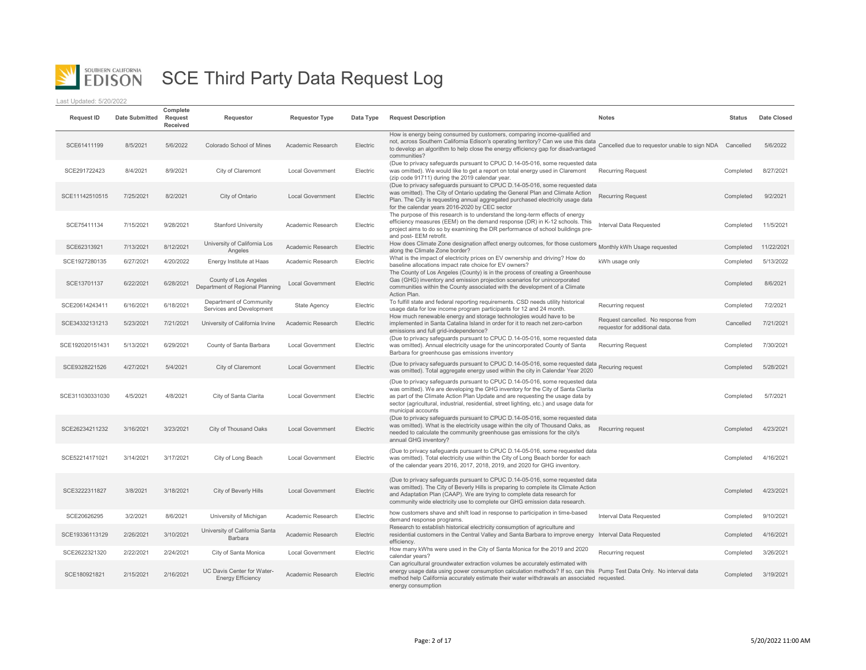

| <b>Request ID</b> | <b>Date Submitted</b> | Complete<br>Request<br>Received | Requestor                                                | <b>Requestor Type</b>   | Data Type | <b>Request Description</b>                                                                                                                                                                                                                                                                                                                                          | <b>Notes</b>                                                          | <b>Status</b> | Date Closed |
|-------------------|-----------------------|---------------------------------|----------------------------------------------------------|-------------------------|-----------|---------------------------------------------------------------------------------------------------------------------------------------------------------------------------------------------------------------------------------------------------------------------------------------------------------------------------------------------------------------------|-----------------------------------------------------------------------|---------------|-------------|
| SCE61411199       | 8/5/2021              | 5/6/2022                        | Colorado School of Mines                                 | Academic Research       | Electric  | How is energy being consumed by customers, comparing income-qualified and<br>now is energy complemental contents of the content of the state of the state. Cancelled due to requestor unable to sign NDA Cancelled<br>to develop an algorithm to help close the energy efficiency gap for disadvantaged<br>communities?                                             |                                                                       |               | 5/6/2022    |
| SCE291722423      | 8/4/2021              | 8/9/2021                        | City of Claremont                                        | Local Government        | Electric  | (Due to privacy safeguards pursuant to CPUC D.14-05-016, some requested data<br>was omitted). We would like to get a report on total energy used in Claremont<br>(zip code 91711) during the 2019 calendar year.                                                                                                                                                    | <b>Recurring Request</b>                                              | Completed     | 8/27/2021   |
| SCE11142510515    | 7/25/2021             | 8/2/2021                        | City of Ontario                                          | Local Government        | Electric  | (Due to privacy safequards pursuant to CPUC D.14-05-016, some requested data<br>was omitted). The City of Ontario updating the General Plan and Climate Action<br>Plan. The City is requesting annual aggregated purchased electricity usage data<br>for the calendar years 2016-2020 by CEC sector                                                                 | <b>Recurring Request</b>                                              | Completed     | 9/2/2021    |
| SCE75411134       | 7/15/2021             | 9/28/2021                       | <b>Stanford University</b>                               | Academic Research       | Electric  | The purpose of this research is to understand the long-term effects of energy<br>efficiency measures (EEM) on the demand response (DR) in K-12 schools. This<br>project aims to do so by examining the DR performance of school buildings pre-<br>and post- EEM retrofit.                                                                                           | Interval Data Requested                                               | Completed     | 11/5/2021   |
| SCE62313921       | 7/13/2021             | 8/12/2021                       | University of California Los<br>Angeles                  | Academic Research       | Electric  | How does Climate Zone designation affect energy outcomes, for those customers Monthly kWh Usage requested<br>along the Climate Zone border?                                                                                                                                                                                                                         |                                                                       | Completed     | 11/22/2021  |
| SCE1927280135     | 6/27/2021             | 4/20/2022                       | Energy Institute at Haas                                 | Academic Research       | Electric  | What is the impact of electricity prices on EV ownership and driving? How do<br>baseline allocations impact rate choice for EV owners?                                                                                                                                                                                                                              | kWh usage only                                                        | Completed     | 5/13/2022   |
| SCE13701137       | 6/22/2021             | 6/28/2021                       | County of Los Angeles<br>Department of Regional Planning | <b>Local Government</b> | Electric  | The County of Los Angeles (County) is in the process of creating a Greenhouse<br>Gas (GHG) inventory and emission projection scenarios for unincorporated<br>communities within the County associated with the development of a Climate<br>Action Plan.                                                                                                             |                                                                       | Completed     | 8/6/2021    |
| SCE20614243411    | 6/16/2021             | 6/18/2021                       | Department of Community<br>Services and Development      | <b>State Agency</b>     | Electric  | To fulfill state and federal reporting requirements. CSD needs utility historical<br>usage data for low income program participants for 12 and 24 month.                                                                                                                                                                                                            | Recurring request                                                     | Completed     | 7/2/2021    |
| SCE34332131213    | 5/23/2021             | 7/21/2021                       | University of California Irvine                          | Academic Research       | Electric  | How much renewable energy and storage technologies would have to be<br>implemented in Santa Catalina Island in order for it to reach net zero-carbon<br>emissions and full grid-independence?                                                                                                                                                                       | Request cancelled. No response from<br>requestor for additional data. | Cancelled     | 7/21/2021   |
| SCE192020151431   | 5/13/2021             | 6/29/2021                       | County of Santa Barbara                                  | Local Government        | Electric  | (Due to privacy safeguards pursuant to CPUC D.14-05-016, some requested data<br>was omitted). Annual electricity usage for the unincorporated County of Santa<br>Barbara for greenhouse gas emissions inventory                                                                                                                                                     | <b>Recurring Request</b>                                              | Completed     | 7/30/2021   |
| SCE9328221526     | 4/27/2021             | 5/4/2021                        | City of Claremont                                        | <b>Local Government</b> | Electric  | (Due to privacy safeguards pursuant to CPUC D.14-05-016, some requested data<br>was omitted). Total aggregate energy used within the city in Calendar Year 2020                                                                                                                                                                                                     | Recuring request                                                      | Completed     | 5/28/2021   |
| SCE311030331030   | 4/5/2021              | 4/8/2021                        | City of Santa Clarita                                    | <b>Local Government</b> | Electric  | (Due to privacy safeguards pursuant to CPUC D.14-05-016, some requested data<br>was omitted). We are developing the GHG inventory for the City of Santa Clarita<br>as part of the Climate Action Plan Update and are requesting the usage data by<br>sector (agricultural, industrial, residential, street lighting, etc.) and usage data for<br>municipal accounts |                                                                       | Completed     | 5/7/2021    |
| SCE26234211232    | 3/16/2021             | 3/23/2021                       | City of Thousand Oaks                                    | <b>Local Government</b> | Electric  | (Due to privacy safeguards pursuant to CPUC D.14-05-016, some requested data<br>was omitted). What is the electricity usage within the city of Thousand Oaks, as<br>needed to calculate the community greenhouse gas emissions for the city's<br>annual GHG inventory?                                                                                              | Recurring request                                                     | Completed     | 4/23/2021   |
| SCE52214171021    | 3/14/2021             | 3/17/2021                       | City of Long Beach                                       | <b>Local Government</b> | Electric  | (Due to privacy safeguards pursuant to CPUC D.14-05-016, some requested data<br>was omitted). Total electricity use within the City of Long Beach border for each<br>of the calendar years 2016, 2017, 2018, 2019, and 2020 for GHG inventory.                                                                                                                      |                                                                       | Completed     | 4/16/2021   |
| SCE3222311827     | 3/8/2021              | 3/18/2021                       | City of Beverly Hills                                    | <b>Local Government</b> | Electric  | (Due to privacy safeguards pursuant to CPUC D.14-05-016, some requested data<br>was omitted). The City of Beverly Hills is preparing to complete its Climate Action<br>and Adaptation Plan (CAAP). We are trying to complete data research for<br>community wide electricity use to complete our GHG emission data research.                                        |                                                                       | Completed     | 4/23/2021   |
| SCE20626295       | 3/2/2021              | 8/6/2021                        | University of Michigan                                   | Academic Research       | Electric  | how customers shave and shift load in response to participation in time-based<br>demand response programs.                                                                                                                                                                                                                                                          | Interval Data Requested                                               | Completed     | 9/10/2021   |
| SCE19336113129    | 2/26/2021             | 3/10/2021                       | University of California Santa<br>Barbara                | Academic Research       | Electric  | Research to establish historical electricity consumption of agriculture and<br>residential customers in the Central Valley and Santa Barbara to improve energy Interval Data Requested<br>efficiency.                                                                                                                                                               |                                                                       | Completed     | 4/16/2021   |
| SCE2622321320     | 2/22/2021             | 2/24/2021                       | City of Santa Monica                                     | <b>Local Government</b> | Electric  | How many kWhs were used in the City of Santa Monica for the 2019 and 2020<br>calendar years?                                                                                                                                                                                                                                                                        | Recurring request                                                     | Completed     | 3/26/2021   |
| SCE180921821      | 2/15/2021             | 2/16/2021                       | UC Davis Center for Water-<br><b>Energy Efficiency</b>   | Academic Research       | Electric  | Can agricultural groundwater extraction volumes be accurately estimated with<br>energy usage data using power consumption calculation methods? If so, can this Pump Test Data Only. No interval data<br>method help California accurately estimate their water withdrawals an associated requested.<br>energy consumption                                           |                                                                       | Completed     | 3/19/2021   |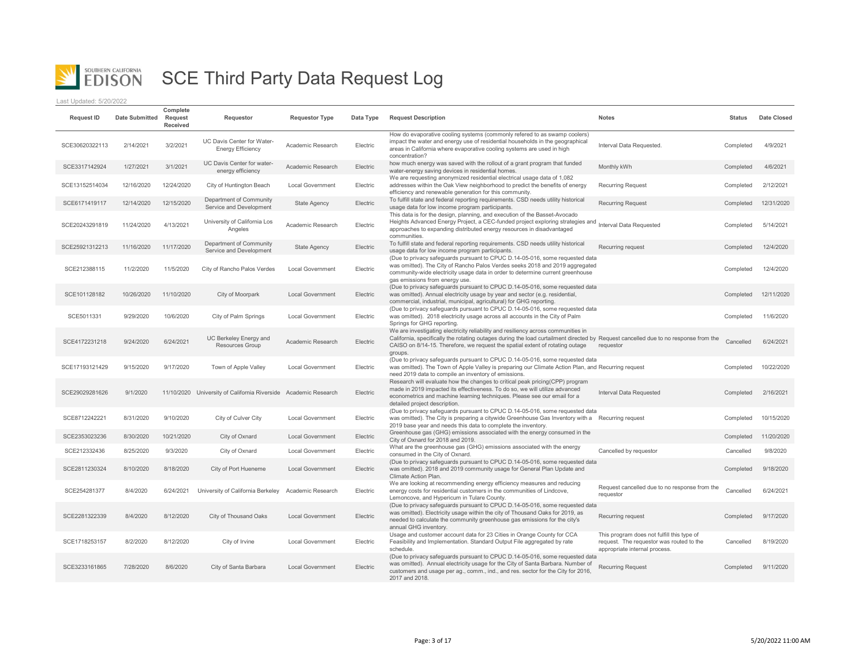

| <b>Request ID</b> | <b>Date Submitted</b> | Complete<br>Request<br>Received | Requestor                                                       | <b>Requestor Type</b>   | Data Type | <b>Request Description</b>                                                                                                                                                                                                                                                                                           | <b>Notes</b>                                                                                                           | <b>Status</b> | Date Closed |
|-------------------|-----------------------|---------------------------------|-----------------------------------------------------------------|-------------------------|-----------|----------------------------------------------------------------------------------------------------------------------------------------------------------------------------------------------------------------------------------------------------------------------------------------------------------------------|------------------------------------------------------------------------------------------------------------------------|---------------|-------------|
| SCE30620322113    | 2/14/2021             | 3/2/2021                        | UC Davis Center for Water-<br><b>Energy Efficiency</b>          | Academic Research       | Electric  | How do evaporative cooling systems (commonly refered to as swamp coolers)<br>impact the water and energy use of residential households in the geographical<br>areas in California where evaporative cooling systems are used in high<br>concentration?                                                               | Interval Data Requested.                                                                                               | Completed     | 4/9/2021    |
| SCE3317142924     | 1/27/2021             | 3/1/2021                        | UC Davis Center for water-<br>energy efficiency                 | Academic Research       | Electric  | how much energy was saved with the rollout of a grant program that funded<br>water-energy saving devices in residential homes.                                                                                                                                                                                       | Monthly kWh                                                                                                            | Completed     | 4/6/2021    |
| SCE13152514034    | 12/16/2020            | 12/24/2020                      | City of Huntington Beach                                        | Local Government        | Electric  | We are requesting anonymized residential electrical usage data of 1,082<br>addresses within the Oak View neighborhood to predict the benefits of energy<br>efficiency and renewable generation for this community.                                                                                                   | <b>Recurring Request</b>                                                                                               | Completed     | 2/12/2021   |
| SCE6171419117     | 12/14/2020            | 12/15/2020                      | Department of Community<br>Service and Development              | <b>State Agency</b>     | Electric  | To fulfill state and federal reporting requirements. CSD needs utility historical<br>usage data for low income program participants.                                                                                                                                                                                 | <b>Recurring Request</b>                                                                                               | Completed     | 12/31/2020  |
| SCE20243291819    | 11/24/2020            | 4/13/2021                       | University of California Los<br>Angeles                         | Academic Research       | Electric  | This data is for the design, planning, and execution of the Basset-Avocado<br>Heights Advanced Energy Project, a CEC-funded project exploring strategies and Interval Data Requested<br>approaches to expanding distributed energy resources in disadvantaged<br>communities.                                        |                                                                                                                        | Completed     | 5/14/2021   |
| SCE25921312213    | 11/16/2020            | 11/17/2020                      | Department of Community<br>Service and Development              | <b>State Agency</b>     | Electric  | To fulfill state and federal reporting requirements. CSD needs utility historical<br>usage data for low income program participants.                                                                                                                                                                                 | Recurring request                                                                                                      | Completed     | 12/4/2020   |
| SCE212388115      | 11/2/2020             | 11/5/2020                       | City of Rancho Palos Verdes                                     | Local Government        | Electric  | (Due to privacy safeguards pursuant to CPUC D.14-05-016, some requested data<br>was omitted). The City of Rancho Palos Verdes seeks 2018 and 2019 aggregated<br>community-wide electricity usage data in order to determine current greenhouse<br>gas emissions from energy use.                                     |                                                                                                                        | Completed     | 12/4/2020   |
| SCE101128182      | 10/26/2020            | 11/10/2020                      | City of Moorpark                                                | <b>Local Government</b> | Electric  | (Due to privacy safeguards pursuant to CPUC D.14-05-016, some requested data<br>was omitted). Annual electricity usage by year and sector (e.g. residential,<br>commercial, industrial, municipal, agricultural) for GHG reporting.                                                                                  |                                                                                                                        | Completed     | 12/11/2020  |
| SCE5011331        | 9/29/2020             | 10/6/2020                       | City of Palm Springs                                            | Local Government        | Electric  | (Due to privacy safeguards pursuant to CPUC D.14-05-016, some requested data<br>was omitted). 2018 electricity usage across all accounts in the City of Palm<br>Springs for GHG reporting.                                                                                                                           |                                                                                                                        | Completed     | 11/6/2020   |
| SCE4172231218     | 9/24/2020             | 6/24/2021                       | UC Berkeley Energy and<br>Resources Group                       | Academic Research       | Electric  | We are investigating electricity reliability and resiliency across communities in<br>California, specifically the rotating outages during the load curtailment directed by Request cancelled due to no response from the<br>CAISO on 8/14-15. Therefore, we request the spatial extent of rotating outage<br>groups. | requestor                                                                                                              | Cancelled     | 6/24/2021   |
| SCE17193121429    | 9/15/2020             | 9/17/2020                       | Town of Apple Valley                                            | <b>Local Government</b> | Electric  | (Due to privacy safeguards pursuant to CPUC D.14-05-016, some requested data<br>was omitted). The Town of Apple Valley is preparing our Climate Action Plan, and Recurring request<br>need 2019 data to compile an inventory of emissions.                                                                           |                                                                                                                        | Completed     | 10/22/2020  |
| SCE29029281626    | 9/1/2020              |                                 | 11/10/2020 University of California Riverside Academic Research |                         | Electric  | Research will evaluate how the changes to critical peak pricing(CPP) program<br>made in 2019 impacted its effectiveness. To do so, we will utilize advanced<br>econometrics and machine learning techniques. Please see our email for a<br>detailed project description.                                             | Interval Data Requested                                                                                                | Completed     | 2/16/2021   |
| SCE8712242221     | 8/31/2020             | 9/10/2020                       | City of Culver City                                             | <b>Local Government</b> | Electric  | (Due to privacy safeguards pursuant to CPUC D.14-05-016, some requested data<br>was omitted). The City is preparing a citywide Greenhouse Gas Inventory with a Recurring request<br>2019 base year and needs this data to complete the inventory.                                                                    |                                                                                                                        | Completed     | 10/15/2020  |
| SCE2353023236     | 8/30/2020             | 10/21/2020                      | City of Oxnard                                                  | <b>Local Government</b> | Electric  | Greenhouse gas (GHG) emissions associated with the energy consumed in the<br>City of Oxnard for 2018 and 2019.                                                                                                                                                                                                       |                                                                                                                        | Completed     | 11/20/2020  |
| SCE212332436      | 8/25/2020             | 9/3/2020                        | City of Oxnard                                                  | <b>Local Government</b> | Electric  | What are the greenhouse gas (GHG) emissions associated with the energy<br>consumed in the City of Oxnard.                                                                                                                                                                                                            | Cancelled by requestor                                                                                                 | Cancelled     | 9/8/2020    |
| SCE2811230324     | 8/10/2020             | 8/18/2020                       | City of Port Hueneme                                            | <b>Local Government</b> | Electric  | (Due to privacy safeguards pursuant to CPUC D.14-05-016, some requested data<br>was omitted). 2018 and 2019 community usage for General Plan Update and<br>Climate Action Plan.                                                                                                                                      |                                                                                                                        | Completed     | 9/18/2020   |
| SCE254281377      | 8/4/2020              | 6/24/2021                       | University of California Berkeley                               | Academic Research       | Electric  | We are looking at recommending energy efficiency measures and reducing<br>energy costs for residential customers in the communities of Lindcove,<br>Lemoncove, and Hypericum in Tulare County.                                                                                                                       | Request cancelled due to no response from the<br>requestor                                                             | Cancelled     | 6/24/2021   |
| SCE2281322339     | 8/4/2020              | 8/12/2020                       | City of Thousand Oaks                                           | <b>Local Government</b> | Electric  | (Due to privacy safeguards pursuant to CPUC D.14-05-016, some requested data<br>was omitted). Electricity usage within the city of Thousand Oaks for 2019, as<br>needed to calculate the community greenhouse gas emissions for the city's<br>annual GHG inventory.                                                  | Recurring request                                                                                                      | Completed     | 9/17/2020   |
| SCE1718253157     | 8/2/2020              | 8/12/2020                       | City of Irvine                                                  | <b>Local Government</b> | Electric  | Usage and customer account data for 23 Cities in Orange County for CCA<br>Feasibility and Implementation. Standard Output File aggregated by rate<br>schedule.                                                                                                                                                       | This program does not fulfill this type of<br>request. The requestor was routed to the<br>appropriate internal process | Cancelled     | 8/19/2020   |
| SCE3233161865     | 7/28/2020             | 8/6/2020                        | City of Santa Barbara                                           | <b>Local Government</b> | Electric  | (Due to privacy safeguards pursuant to CPUC D.14-05-016, some requested data<br>was omitted). Annual electricity usage for the City of Santa Barbara. Number of<br>customers and usage per ag., comm., ind., and res. sector for the City for 2016,<br>2017 and 2018.                                                | <b>Recurring Request</b>                                                                                               | Completed     | 9/11/2020   |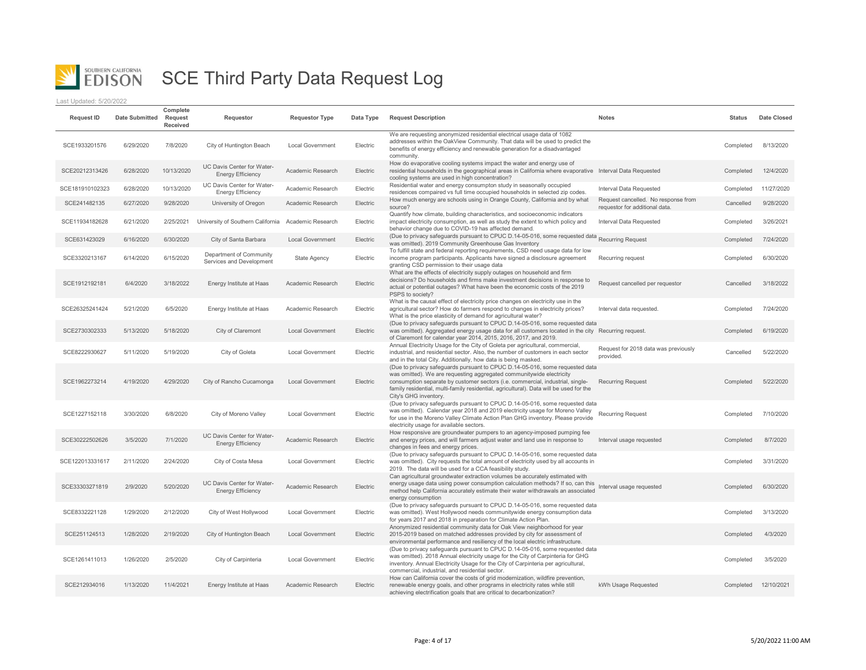

| <b>Request ID</b> | <b>Date Submitted</b> | Complete<br>Request<br>Received | Requestor                                              | <b>Requestor Type</b>   | Data Type | <b>Request Description</b>                                                                                                                                                                                                                                                                                                                                | <b>Notes</b>                                                          | <b>Status</b> | <b>Date Closed</b> |
|-------------------|-----------------------|---------------------------------|--------------------------------------------------------|-------------------------|-----------|-----------------------------------------------------------------------------------------------------------------------------------------------------------------------------------------------------------------------------------------------------------------------------------------------------------------------------------------------------------|-----------------------------------------------------------------------|---------------|--------------------|
| SCE1933201576     | 6/29/2020             | 7/8/2020                        | City of Huntington Beach                               | <b>Local Government</b> | Electric  | We are requesting anonymized residential electrical usage data of 1082<br>addresses within the OakView Community. That data will be used to predict the<br>benefits of energy efficiency and renewable generation for a disadvantaged<br>community.                                                                                                       |                                                                       | Completed     | 8/13/2020          |
| SCE20212313426    | 6/28/2020             | 10/13/2020                      | UC Davis Center for Water-<br><b>Energy Efficiency</b> | Academic Research       | Electric  | How do evaporative cooling systems impact the water and energy use of<br>residential households in the geographical areas in California where evaporative Interval Data Requested<br>cooling systems are used in high concentration?                                                                                                                      |                                                                       | Completed     | 12/4/2020          |
| SCE181910102323   | 6/28/2020             | 10/13/2020                      | UC Davis Center for Water-<br><b>Energy Efficiency</b> | Academic Research       | Electric  | Residential water and energy consumpton study in seasonally occupied<br>residences compaired vs full time occupied households in selected zip codes.                                                                                                                                                                                                      | Interval Data Requested                                               | Completed     | 11/27/2020         |
| SCE241482135      | 6/27/2020             | 9/28/2020                       | University of Oregon                                   | Academic Research       | Electric  | How much energy are schools using in Orange County, California and by what<br>source?                                                                                                                                                                                                                                                                     | Request cancelled. No response from<br>requestor for additional data. | Cancelled     | 9/28/2020          |
| SCE11934182628    | 6/21/2020             | 2/25/2021                       | University of Southern California                      | Academic Research       | Electric  | Quantify how climate, building characteristics, and socioeconomic indicators<br>impact electricity consumption, as well as study the extent to which policy and<br>behavior change due to COVID-19 has affected demand.                                                                                                                                   | Interval Data Requested                                               | Completed     | 3/26/2021          |
| SCE631423029      | 6/16/2020             | 6/30/2020                       | City of Santa Barbara                                  | <b>Local Government</b> | Electric  | (Due to privacy safequards pursuant to CPUC D.14-05-016, some requested data<br>was omitted). 2019 Community Greenhouse Gas Inventory                                                                                                                                                                                                                     | <b>Recurring Request</b>                                              | Completed     | 7/24/2020          |
| SCE3320213167     | 6/14/2020             | 6/15/2020                       | Department of Community<br>Services and Development    | <b>State Agency</b>     | Electric  | To fulfill state and federal reporting requirements, CSD need usage data for low<br>income program participants. Applicants have signed a disclosure agreement<br>granting CSD permission to their usage data                                                                                                                                             | Recurring request                                                     | Completed     | 6/30/2020          |
| SCE1912192181     | 6/4/2020              | 3/18/2022                       | Energy Institute at Haas                               | Academic Research       | Electric  | What are the effects of electricity supply outages on household and firm<br>decisions? Do households and firms make investment decisions in response to<br>actual or potential outages? What have been the economic costs of the 2019<br>PSPS to society?                                                                                                 | Request cancelled per requestor                                       | Cancelled     | 3/18/2022          |
| SCE26325241424    | 5/21/2020             | 6/5/2020                        | Energy Institute at Haas                               | Academic Research       | Electric  | What is the causal effect of electricity price changes on electricity use in the<br>agricultural sector? How do farmers respond to changes in electricity prices?<br>What is the price elasticity of demand for agricultural water?                                                                                                                       | Interval data requested.                                              | Completed     | 7/24/2020          |
| SCE2730302333     | 5/13/2020             | 5/18/2020                       | City of Claremont                                      | <b>Local Government</b> | Electric  | (Due to privacy safeguards pursuant to CPUC D.14-05-016, some requested data<br>was omitted). Aggregated energy usage data for all customers located in the city Recurring request.<br>of Claremont for calendar year 2014, 2015, 2016, 2017, and 2019.                                                                                                   |                                                                       | Completed     | 6/19/2020          |
| SCE8222930627     | 5/11/2020             | 5/19/2020                       | City of Goleta                                         | <b>Local Government</b> | Electric  | Annual Electricity Usage for the City of Goleta per agricultural, commercial,<br>industrial, and residential sector. Also, the number of customers in each sector<br>and in the total City. Additionally, how data is being masked.                                                                                                                       | Request for 2018 data was previously<br>provided.                     | Cancelled     | 5/22/2020          |
| SCE1962273214     | 4/19/2020             | 4/29/2020                       | City of Rancho Cucamonga                               | <b>Local Government</b> | Electric  | (Due to privacy safequards pursuant to CPUC D.14-05-016, some requested data<br>was omitted). We are requesting aggregated communitywide electricity<br>consumption separate by customer sectors (i.e. commercial, industrial, single-<br>family residential, multi-family residential, agricultural). Data will be used for the<br>City's GHG inventory. | <b>Recurring Request</b>                                              | Completed     | 5/22/2020          |
| SCE1227152118     | 3/30/2020             | 6/8/2020                        | City of Moreno Valley                                  | <b>Local Government</b> | Electric  | (Due to privacy safeguards pursuant to CPUC D.14-05-016, some requested data<br>was omitted). Calendar year 2018 and 2019 electricity usage for Moreno Valley<br>for use in the Moreno Valley Climate Action Plan GHG inventory. Please provide<br>electricity usage for available sectors.                                                               | <b>Recurring Request</b>                                              | Completed     | 7/10/2020          |
| SCE30222502626    | 3/5/2020              | 7/1/2020                        | UC Davis Center for Water-<br><b>Energy Efficiency</b> | Academic Research       | Electric  | How responsive are groundwater pumpers to an agency-imposed pumping fee<br>and energy prices, and will farmers adjust water and land use in response to<br>changes in fees and energy prices.                                                                                                                                                             | Interval usage requested                                              | Completed     | 8/7/2020           |
| SCE122013331617   | 2/11/2020             | 2/24/2020                       | City of Costa Mesa                                     | <b>Local Government</b> | Electric  | (Due to privacy safeguards pursuant to CPUC D.14-05-016, some requested data<br>was omitted). City requests the total amount of electricity used by all accounts in<br>2019. The data will be used for a CCA feasibility study.                                                                                                                           |                                                                       | Completed     | 3/31/2020          |
| SCE33303271819    | 2/9/2020              | 5/20/2020                       | UC Davis Center for Water-<br><b>Energy Efficiency</b> | Academic Research       | Electric  | Can agricultural groundwater extraction volumes be accurately estimated with<br>energy usage data using power consumption calculation methods? If so, can this<br>method help California accurately estimate their water withdrawals an associated<br>energy consumption                                                                                  | Interval usage requested                                              | Completed     | 6/30/2020          |
| SCE8332221128     | 1/29/2020             | 2/12/2020                       | City of West Hollywood                                 | <b>Local Government</b> | Electric  | (Due to privacy safeguards pursuant to CPUC D.14-05-016, some requested data<br>was omitted). West Hollywood needs communitywide energy consumption data<br>for years 2017 and 2018 in preparation for Climate Action Plan.                                                                                                                               |                                                                       | Completed     | 3/13/2020          |
| SCE251124513      | 1/28/2020             | 2/19/2020                       | City of Huntington Beach                               | <b>Local Government</b> | Electric  | Anonymized residential community data for Oak View neighborhood for year<br>2015-2019 based on matched addresses provided by city for assessment of<br>environmental performance and resiliency of the local electric infrastructure.                                                                                                                     |                                                                       | Completed     | 4/3/2020           |
| SCE1261411013     | 1/26/2020             | 2/5/2020                        | City of Carpinteria                                    | <b>Local Government</b> | Electric  | (Due to privacy safeguards pursuant to CPUC D.14-05-016, some requested data<br>was omitted). 2018 Annual electricity usage for the City of Carpinteria for GHG<br>inventory. Annual Electricity Usage for the City of Carpinteria per agricultural,<br>commercial, industrial, and residential sector.                                                   |                                                                       | Completed     | 3/5/2020           |
| SCE212934016      | 1/13/2020             | 11/4/2021                       | Energy Institute at Haas                               | Academic Research       | Electric  | How can California cover the costs of grid modernization, wildfire prevention,<br>renewable energy goals, and other programs in electricity rates while still<br>achieving electrification goals that are critical to decarbonization?                                                                                                                    | kWh Usage Requested                                                   | Completed     | 12/10/2021         |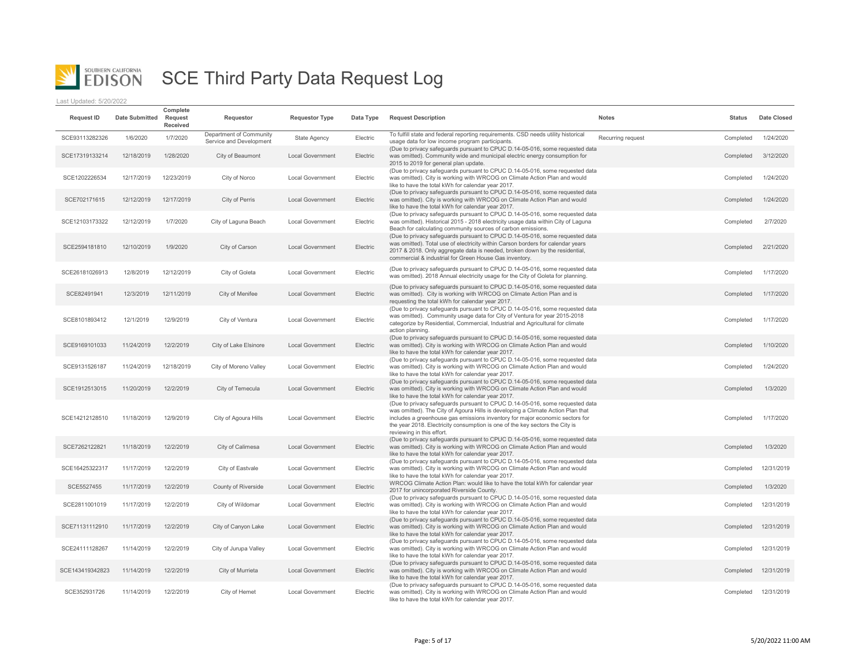

| <b>Request ID</b> | <b>Date Submitted</b> | Complete<br>Request<br>Received | Requestor                                          | <b>Requestor Type</b>   | Data Type | <b>Request Description</b>                                                                                                                                                                                                                                                                                                                                   | <b>Notes</b>      | <b>Status</b> | Date Closed |
|-------------------|-----------------------|---------------------------------|----------------------------------------------------|-------------------------|-----------|--------------------------------------------------------------------------------------------------------------------------------------------------------------------------------------------------------------------------------------------------------------------------------------------------------------------------------------------------------------|-------------------|---------------|-------------|
| SCE93113282326    | 1/6/2020              | 1/7/2020                        | Department of Community<br>Service and Development | State Agency            | Electric  | To fulfill state and federal reporting requirements. CSD needs utility historical<br>usage data for low income program participants.                                                                                                                                                                                                                         | Recurring request | Completed     | 1/24/2020   |
| SCE17319133214    | 12/18/2019            | 1/28/2020                       | City of Beaumont                                   | Local Government        | Electric  | (Due to privacy safeguards pursuant to CPUC D.14-05-016, some requested data<br>was omitted). Community wide and municipal electric energy consumption for<br>2015 to 2019 for general plan update.                                                                                                                                                          |                   | Completed     | 3/12/2020   |
| SCE1202226534     | 12/17/2019            | 12/23/2019                      | City of Norco                                      | <b>Local Government</b> | Electric  | (Due to privacy safeguards pursuant to CPUC D.14-05-016, some requested data<br>was omitted). City is working with WRCOG on Climate Action Plan and would<br>like to have the total kWh for calendar year 2017.                                                                                                                                              |                   | Completed     | 1/24/2020   |
| SCE702171615      | 12/12/2019            | 12/17/2019                      | City of Perris                                     | <b>Local Government</b> | Electric  | (Due to privacy safeguards pursuant to CPUC D.14-05-016, some requested data<br>was omitted). City is working with WRCOG on Climate Action Plan and would<br>like to have the total kWh for calendar year 2017.                                                                                                                                              |                   | Completed     | 1/24/2020   |
| SCE12103173322    | 12/12/2019            | 1/7/2020                        | City of Laguna Beach                               | <b>Local Government</b> | Electric  | (Due to privacy safeguards pursuant to CPUC D.14-05-016, some requested data<br>was omitted). Historical 2015 - 2018 electricity usage data within City of Laguna<br>Beach for calculating community sources of carbon emissions.                                                                                                                            |                   | Completed     | 2/7/2020    |
| SCE2594181810     | 12/10/2019            | 1/9/2020                        | City of Carson                                     | <b>Local Government</b> | Electric  | (Due to privacy safeguards pursuant to CPUC D.14-05-016, some requested data<br>was omitted). Total use of electricity within Carson borders for calendar years<br>2017 & 2018. Only aggregate data is needed, broken down by the residential,<br>commercial & industrial for Green House Gas inventory.                                                     |                   | Completed     | 2/21/2020   |
| SCE26181026913    | 12/8/2019             | 12/12/2019                      | City of Goleta                                     | <b>Local Government</b> | Electric  | (Due to privacy safeguards pursuant to CPUC D.14-05-016, some requested data<br>was omitted). 2018 Annual electricity usage for the City of Goleta for planning.                                                                                                                                                                                             |                   | Completed     | 1/17/2020   |
| SCE82491941       | 12/3/2019             | 12/11/2019                      | City of Menifee                                    | <b>Local Government</b> | Electric  | (Due to privacy safeguards pursuant to CPUC D.14-05-016, some requested data<br>was omitted). City is working with WRCOG on Climate Action Plan and is<br>requesting the total kWh for calendar year 2017.                                                                                                                                                   |                   | Completed     | 1/17/2020   |
| SCE8101893412     | 12/1/2019             | 12/9/2019                       | City of Ventura                                    | <b>Local Government</b> | Electric  | (Due to privacy safeguards pursuant to CPUC D.14-05-016, some requested data<br>was omitted). Community usage data for City of Ventura for year 2015-2018<br>categorize by Residential, Commercial, Industrial and Agricultural for climate<br>action planning.                                                                                              |                   | Completed     | 1/17/2020   |
| SCE9169101033     | 11/24/2019            | 12/2/2019                       | City of Lake Elsinore                              | <b>Local Government</b> | Electric  | (Due to privacy safeguards pursuant to CPUC D.14-05-016, some requested data<br>was omitted). City is working with WRCOG on Climate Action Plan and would<br>like to have the total kWh for calendar year 2017.                                                                                                                                              |                   | Completed     | 1/10/2020   |
| SCE9131526187     | 11/24/2019            | 12/18/2019                      | City of Moreno Valley                              | Local Government        | Electric  | (Due to privacy safeguards pursuant to CPUC D.14-05-016, some requested data<br>was omitted). City is working with WRCOG on Climate Action Plan and would<br>like to have the total kWh for calendar year 2017.                                                                                                                                              |                   | Completed     | 1/24/2020   |
| SCE1912513015     | 11/20/2019            | 12/2/2019                       | City of Temecula                                   | <b>Local Government</b> | Electric  | (Due to privacy safeguards pursuant to CPUC D.14-05-016, some requested data<br>was omitted). City is working with WRCOG on Climate Action Plan and would<br>like to have the total kWh for calendar year 2017.                                                                                                                                              |                   | Completed     | 1/3/2020    |
| SCE14212128510    | 11/18/2019            | 12/9/2019                       | City of Agoura Hills                               | <b>Local Government</b> | Electric  | (Due to privacy safeguards pursuant to CPUC D.14-05-016, some requested data<br>was omitted). The City of Agoura Hills is developing a Climate Action Plan that<br>includes a greenhouse gas emissions inventory for major economic sectors for<br>the year 2018. Electricity consumption is one of the key sectors the City is<br>reviewing in this effort. |                   | Completed     | 1/17/2020   |
| SCE7262122821     | 11/18/2019            | 12/2/2019                       | City of Calimesa                                   | <b>Local Government</b> | Electric  | (Due to privacy safeguards pursuant to CPUC D.14-05-016, some requested data<br>was omitted). City is working with WRCOG on Climate Action Plan and would<br>like to have the total kWh for calendar year 2017.                                                                                                                                              |                   | Completed     | 1/3/2020    |
| SCE16425322317    | 11/17/2019            | 12/2/2019                       | City of Eastvale                                   | <b>Local Government</b> | Electric  | (Due to privacy safeguards pursuant to CPUC D.14-05-016, some requested data<br>was omitted). City is working with WRCOG on Climate Action Plan and would<br>like to have the total kWh for calendar year 2017.                                                                                                                                              |                   | Completed     | 12/31/2019  |
| SCE5527455        | 11/17/2019            | 12/2/2019                       | County of Riverside                                | <b>Local Government</b> | Electric  | WRCOG Climate Action Plan: would like to have the total kWh for calendar year<br>2017 for unincorporated Riverside County.                                                                                                                                                                                                                                   |                   | Completed     | 1/3/2020    |
| SCE2811001019     | 11/17/2019            | 12/2/2019                       | City of Wildomar                                   | <b>Local Government</b> | Electric  | (Due to privacy safeguards pursuant to CPUC D.14-05-016, some requested data<br>was omitted). City is working with WRCOG on Climate Action Plan and would<br>like to have the total kWh for calendar year 2017.                                                                                                                                              |                   | Completed     | 12/31/2019  |
| SCE71131112910    | 11/17/2019            | 12/2/2019                       | City of Canyon Lake                                | <b>Local Government</b> | Electric  | (Due to privacy safeguards pursuant to CPUC D.14-05-016, some requested data<br>was omitted). City is working with WRCOG on Climate Action Plan and would<br>like to have the total kWh for calendar year 2017.                                                                                                                                              |                   | Completed     | 12/31/2019  |
| SCE24111128267    | 11/14/2019            | 12/2/2019                       | City of Jurupa Valley                              | Local Government        | Electric  | (Due to privacy safeguards pursuant to CPUC D.14-05-016, some requested data<br>was omitted). City is working with WRCOG on Climate Action Plan and would<br>like to have the total kWh for calendar year 2017.                                                                                                                                              |                   | Completed     | 12/31/2019  |
| SCE143419342823   | 11/14/2019            | 12/2/2019                       | City of Murrieta                                   | <b>Local Government</b> | Electric  | (Due to privacy safeguards pursuant to CPUC D.14-05-016, some requested data<br>was omitted). City is working with WRCOG on Climate Action Plan and would<br>like to have the total kWh for calendar year 2017.                                                                                                                                              |                   | Completed     | 12/31/2019  |
| SCE352931726      | 11/14/2019            | 12/2/2019                       | City of Hemet                                      | <b>Local Government</b> | Electric  | (Due to privacy safeguards pursuant to CPUC D.14-05-016, some requested data<br>was omitted). City is working with WRCOG on Climate Action Plan and would<br>like to have the total kWh for calendar year 2017.                                                                                                                                              |                   | Completed     | 12/31/2019  |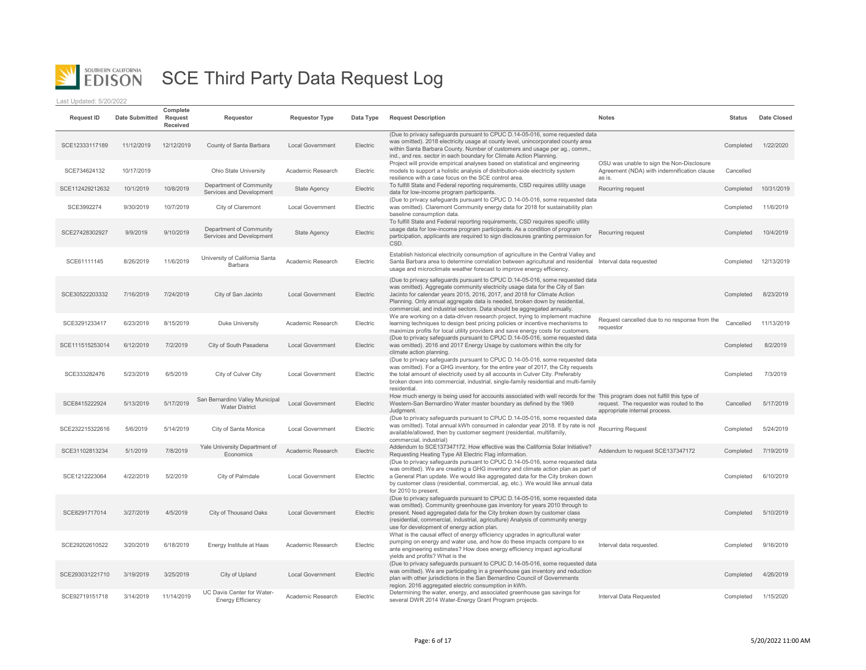

| <b>Request ID</b> | <b>Date Submitted</b> | Complete<br>Request<br>Received | Requestor                                                | <b>Requestor Type</b>   | Data Type | <b>Request Description</b>                                                                                                                                                                                                                                                                                                                                                                         | <b>Notes</b>                                                                                       | <b>Status</b> | Date Closed |
|-------------------|-----------------------|---------------------------------|----------------------------------------------------------|-------------------------|-----------|----------------------------------------------------------------------------------------------------------------------------------------------------------------------------------------------------------------------------------------------------------------------------------------------------------------------------------------------------------------------------------------------------|----------------------------------------------------------------------------------------------------|---------------|-------------|
| SCE12333117189    | 11/12/2019            | 12/12/2019                      | County of Santa Barbara                                  | Local Government        | Electric  | (Due to privacy safeguards pursuant to CPUC D.14-05-016, some requested data<br>was omitted). 2018 electricity usage at county level, unincorporated county area<br>within Santa Barbara County. Number of customers and usage per ag., comm.,<br>ind., and res. sector in each boundary for Climate Action Planning.                                                                              |                                                                                                    | Completed     | 1/22/2020   |
| SCE734624132      | 10/17/2019            |                                 | Ohio State University                                    | Academic Research       | Electric  | Project will provide empirical analyses based on statistical and engineering<br>models to support a holistic analysis of distribution-side electricity system<br>resilience with a case focus on the SCE control area.                                                                                                                                                                             | OSU was unable to sign the Non-Disclosure<br>Agreement (NDA) with indemnification clause<br>as is. | Cancelled     |             |
| SCE112429212632   | 10/1/2019             | 10/8/2019                       | Department of Community<br>Services and Development      | <b>State Agency</b>     | Electric  | To fulfill State and Federal reporting requirements, CSD requires utility usage<br>data for low-income program participants.                                                                                                                                                                                                                                                                       | Recurring request                                                                                  | Completed     | 10/31/2019  |
| SCE3992274        | 9/30/2019             | 10/7/2019                       | City of Claremont                                        | <b>Local Government</b> | Electric  | (Due to privacy safeguards pursuant to CPUC D.14-05-016, some requested data<br>was omitted). Claremont Community energy data for 2018 for sustainability plan<br>baseline consumption data.                                                                                                                                                                                                       |                                                                                                    | Completed     | 11/6/2019   |
| SCE27428302927    | 9/9/2019              | 9/10/2019                       | Department of Community<br>Services and Development      | <b>State Agency</b>     | Electric  | To fulfill State and Federal reporting requirements, CSD requires specific utility<br>usage data for low-income program participants. As a condition of program<br>participation, applicants are required to sign disclosures granting permission for<br>CSD.                                                                                                                                      | Recurring request                                                                                  | Completed     | 10/4/2019   |
| SCE61111145       | 8/26/2019             | 11/6/2019                       | University of California Santa<br>Barbara                | Academic Research       | Electric  | Establish historical electricity consumption of agriculture in the Central Valley and<br>Santa Barbara area to determine correlation between agricultural and residential Interval data requested<br>usage and microclimate weather forecast to improve energy efficiency.                                                                                                                         |                                                                                                    | Completed     | 12/13/2019  |
| SCE30522203332    | 7/16/2019             | 7/24/2019                       | City of San Jacinto                                      | <b>Local Government</b> | Electric  | (Due to privacy safeguards pursuant to CPUC D.14-05-016, some requested data<br>was omitted). Aggregate community electricity usage data for the City of San<br>Jacinto for calendar years 2015, 2016, 2017, and 2018 for Climate Action<br>Planning. Only annual aggregate data is needed, broken down by residential,<br>commercial, and industrial sectors. Data should be aggregated annually. |                                                                                                    | Completed     | 8/23/2019   |
| SCE3291233417     | 6/23/2019             | 8/15/2019                       | Duke University                                          | Academic Research       | Electric  | We are working on a data-driven research project, trying to implement machine<br>learning techniques to design best pricing policies or incentive mechanisms to<br>maximize profits for local utility providers and save energy costs for customers.                                                                                                                                               | Request cancelled due to no response from the<br>requestor                                         | Cancelled     | 11/13/2019  |
| SCE111515253014   | 6/12/2019             | 7/2/2019                        | City of South Pasadena                                   | <b>Local Government</b> | Electric  | (Due to privacy safeguards pursuant to CPUC D.14-05-016, some requested data<br>was omitted). 2016 and 2017 Energy Usage by customers within the city for<br>climate action planning.                                                                                                                                                                                                              |                                                                                                    | Completed     | 8/2/2019    |
| SCE333282476      | 5/23/2019             | 6/5/2019                        | City of Culver City                                      | <b>Local Government</b> | Electric  | (Due to privacy safeguards pursuant to CPUC D.14-05-016, some requested data<br>was omitted). For a GHG inventory, for the entire year of 2017, the City requests<br>the total amount of electricity used by all accounts in Culver City. Preferably<br>broken down into commercial, industrial, single-family residential and multi-family<br>residential.                                        |                                                                                                    | Completed     | 7/3/2019    |
| SCE8415222924     | 5/13/2019             | 5/17/2019                       | San Bernardino Valley Municipal<br><b>Water District</b> | <b>Local Government</b> | Electric  | How much energy is being used for accounts associated with well records for the This program does not fulfill this type of<br>Western-San Bernardino Water master boundary as defined by the 1969<br>Judgment                                                                                                                                                                                      | request. The requestor was routed to the<br>appropriate internal process.                          | Cancelled     | 5/17/2019   |
| SCE232215322616   | 5/6/2019              | 5/14/2019                       | City of Santa Monica                                     | <b>Local Government</b> | Electric  | (Due to privacy safeguards pursuant to CPUC D.14-05-016, some requested data<br>was omitted). Total annual kWh consumed in calendar year 2018. If by rate is not<br>available/allowed, then by customer segment (residential, multifamily,<br>commercial, industrial)                                                                                                                              | <b>Recurring Request</b>                                                                           | Completed     | 5/24/2019   |
| SCE31102813234    | 5/1/2019              | 7/8/2019                        | Yale University Department of<br>Economics               | Academic Research       | Electric  | Addendum to SCE137347172. How effective was the California Solar Initiative?<br>Requesting Heating Type All Electric Flag information.                                                                                                                                                                                                                                                             | Addendum to request SCE137347172                                                                   | Completed     | 7/19/2019   |
| SCE1212223064     | 4/22/2019             | 5/2/2019                        | City of Palmdale                                         | <b>Local Government</b> | Electric  | (Due to privacy safeguards pursuant to CPUC D.14-05-016, some requested data<br>was omitted). We are creating a GHG inventory and climate action plan as part of<br>a General Plan update. We would like aggregated data for the City broken down<br>by customer class (residential, commercial, ag, etc.). We would like annual data<br>for 2010 to present.                                      |                                                                                                    | Completed     | 6/10/2019   |
| SCE8291717014     | 3/27/2019             | 4/5/2019                        | City of Thousand Oaks                                    | <b>Local Government</b> | Electric  | (Due to privacy safeguards pursuant to CPUC D.14-05-016, some requested data<br>was omitted). Community greenhouse gas inventory for years 2010 through to<br>present. Need aggregated data for the City broken down by customer class<br>(residential, commercial, industrial, agriculture) Analysis of community energy<br>use for development of energy action plan.                            |                                                                                                    | Completed     | 5/10/2019   |
| SCE29202610522    | 3/20/2019             | 6/18/2019                       | Energy Institute at Haas                                 | Academic Research       | Electric  | What is the causal effect of energy efficiency upgrades in agricultural water<br>pumping on energy and water use, and how do these impacts compare to ex<br>ante engineering estimates? How does energy efficiency impact agricultural<br>yields and profits? What is the                                                                                                                          | Interval data requested.                                                                           | Completed     | 9/16/2019   |
| SCE293031221710   | 3/19/2019             | 3/25/2019                       | City of Upland                                           | <b>Local Government</b> | Electric  | (Due to privacy safeguards pursuant to CPUC D.14-05-016, some requested data<br>was omitted). We are participating in a greenhouse gas inventory and reduction<br>plan with other jurisdictions in the San Bernardino Council of Governments<br>region. 2016 aggregated electric consumption in kWh.                                                                                               |                                                                                                    | Completed     | 4/26/2019   |
| SCE92719151718    | 3/14/2019             | 11/14/2019                      | UC Davis Center for Water-<br><b>Energy Efficiency</b>   | Academic Research       | Electric  | Determining the water, energy, and associated greenhouse gas savings for<br>several DWR 2014 Water-Energy Grant Program projects.                                                                                                                                                                                                                                                                  | Interval Data Requested                                                                            | Completed     | 1/15/2020   |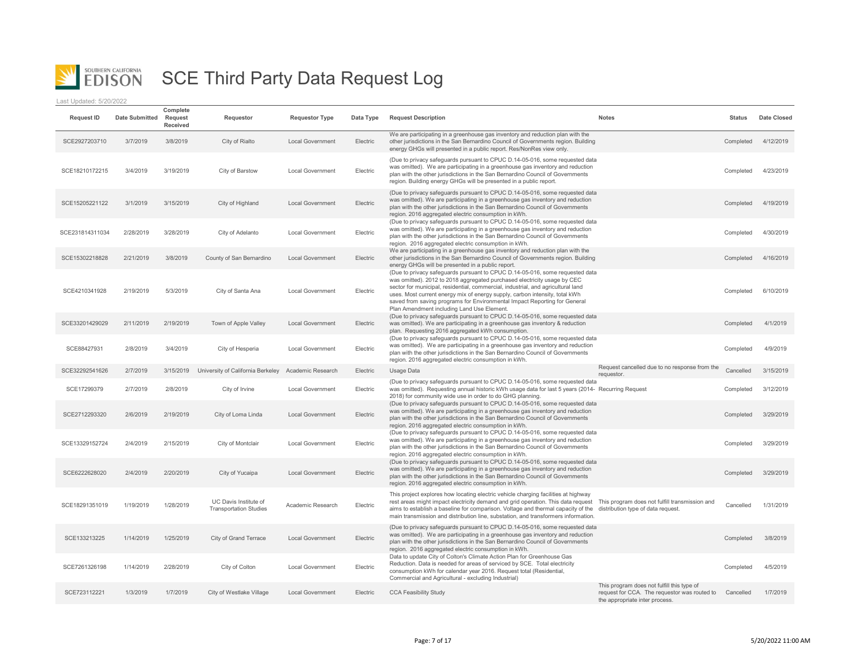

| <b>Request ID</b> | <b>Date Submitted</b> | Complete<br>Request<br>Received | Requestor                                              | <b>Requestor Type</b>   | Data Type | <b>Request Description</b>                                                                                                                                                                                                                                                                                                                                                                                                                             | <b>Notes</b>                                                                                                                 | <b>Status</b> | Date Closed |
|-------------------|-----------------------|---------------------------------|--------------------------------------------------------|-------------------------|-----------|--------------------------------------------------------------------------------------------------------------------------------------------------------------------------------------------------------------------------------------------------------------------------------------------------------------------------------------------------------------------------------------------------------------------------------------------------------|------------------------------------------------------------------------------------------------------------------------------|---------------|-------------|
| SCE2927203710     | 3/7/2019              | 3/8/2019                        | City of Rialto                                         | <b>Local Government</b> | Electric  | We are participating in a greenhouse gas inventory and reduction plan with the<br>other jurisdictions in the San Bernardino Council of Governments region. Building<br>energy GHGs will presented in a public report. Res/NonRes view only.                                                                                                                                                                                                            |                                                                                                                              | Completed     | 4/12/2019   |
| SCE18210172215    | 3/4/2019              | 3/19/2019                       | City of Barstow                                        | Local Government        | Electric  | (Due to privacy safeguards pursuant to CPUC D.14-05-016, some requested data<br>was omitted). We are participating in a greenhouse gas inventory and reduction<br>plan with the other jurisdictions in the San Bernardino Council of Governments<br>region. Building energy GHGs will be presented in a public report.                                                                                                                                 |                                                                                                                              | Completed     | 4/23/2019   |
| SCE15205221122    | 3/1/2019              | 3/15/2019                       | City of Highland                                       | <b>Local Government</b> | Electric  | (Due to privacy safeguards pursuant to CPUC D.14-05-016, some requested data<br>was omitted). We are participating in a greenhouse gas inventory and reduction<br>plan with the other jurisdictions in the San Bernardino Council of Governments<br>region. 2016 aggregated electric consumption in kWh.                                                                                                                                               |                                                                                                                              | Completed     | 4/19/2019   |
| SCE231814311034   | 2/28/2019             | 3/28/2019                       | City of Adelanto                                       | <b>Local Government</b> | Electric  | (Due to privacy safeguards pursuant to CPUC D.14-05-016, some requested data<br>was omitted). We are participating in a greenhouse gas inventory and reduction<br>plan with the other jurisdictions in the San Bernardino Council of Governments<br>region. 2016 aggregated electric consumption in kWh.                                                                                                                                               |                                                                                                                              | Completed     | 4/30/2019   |
| SCE15302218828    | 2/21/2019             | 3/8/2019                        | County of San Bernardino                               | <b>Local Government</b> | Electric  | We are participating in a greenhouse gas inventory and reduction plan with the<br>other jurisdictions in the San Bernardino Council of Governments region. Building<br>energy GHGs will be presented in a public report.                                                                                                                                                                                                                               |                                                                                                                              | Completed     | 4/16/2019   |
| SCE4210341928     | 2/19/2019             | 5/3/2019                        | City of Santa Ana                                      | <b>Local Government</b> | Electric  | (Due to privacy safeguards pursuant to CPUC D.14-05-016, some requested data<br>was omitted). 2012 to 2018 aggregated purchased electricity usage by CEC<br>sector for municipal, residential, commercial, industrial, and agricultural land<br>uses. Most current energy mix of energy supply, carbon intensity, total kWh<br>saved from saving programs for Environmental Impact Reporting for General<br>Plan Amendment including Land Use Element. |                                                                                                                              | Completed     | 6/10/2019   |
| SCE33201429029    | 2/11/2019             | 2/19/2019                       | Town of Apple Valley                                   | <b>Local Government</b> | Electric  | (Due to privacy safeguards pursuant to CPUC D.14-05-016, some requested data<br>was omitted). We are participating in a greenhouse gas inventory & reduction<br>plan. Requesting 2016 aggregated kWh consumption.                                                                                                                                                                                                                                      |                                                                                                                              | Completed     | 4/1/2019    |
| SCE88427931       | 2/8/2019              | 3/4/2019                        | City of Hesperia                                       | <b>Local Government</b> | Electric  | (Due to privacy safeguards pursuant to CPUC D.14-05-016, some requested data<br>was omitted). We are participating in a greenhouse gas inventory and reduction<br>plan with the other jurisdictions in the San Bernardino Council of Governments<br>region. 2016 aggregated electric consumption in kWh.                                                                                                                                               |                                                                                                                              | Completed     | 4/9/2019    |
| SCE32292541626    | 2/7/2019              | 3/15/2019                       | University of California Berkeley                      | Academic Research       | Electric  | Usage Data                                                                                                                                                                                                                                                                                                                                                                                                                                             | Request cancelled due to no response from the<br>requestor.                                                                  | Cancelled     | 3/15/2019   |
| SCE17299379       | 2/7/2019              | 2/8/2019                        | City of Irvine                                         | <b>Local Government</b> | Electric  | (Due to privacy safeguards pursuant to CPUC D.14-05-016, some requested data<br>was omitted). Requesting annual historic kWh usage data for last 5 years (2014- Recurring Request<br>2018) for community wide use in order to do GHG planning.                                                                                                                                                                                                         |                                                                                                                              | Completed     | 3/12/2019   |
| SCE2712293320     | 2/6/2019              | 2/19/2019                       | City of Loma Linda                                     | <b>Local Government</b> | Electric  | (Due to privacy safeguards pursuant to CPUC D.14-05-016, some requested data<br>was omitted). We are participating in a greenhouse gas inventory and reduction<br>plan with the other jurisdictions in the San Bernardino Council of Governments<br>region. 2016 aggregated electric consumption in kWh.                                                                                                                                               |                                                                                                                              | Completed     | 3/29/2019   |
| SCE13329152724    | 2/4/2019              | 2/15/2019                       | City of Montclair                                      | <b>Local Government</b> | Electric  | (Due to privacy safeguards pursuant to CPUC D.14-05-016, some requested data<br>was omitted). We are participating in a greenhouse gas inventory and reduction<br>plan with the other jurisdictions in the San Bernardino Council of Governments<br>region. 2016 aggregated electric consumption in kWh.                                                                                                                                               |                                                                                                                              | Completed     | 3/29/2019   |
| SCE6222628020     | 2/4/2019              | 2/20/2019                       | City of Yucaipa                                        | <b>Local Government</b> | Electric  | (Due to privacy safeguards pursuant to CPUC D.14-05-016, some requested data<br>was omitted). We are participating in a greenhouse gas inventory and reduction<br>plan with the other jurisdictions in the San Bernardino Council of Governments<br>region. 2016 aggregated electric consumption in kWh.                                                                                                                                               |                                                                                                                              | Completed     | 3/29/2019   |
| SCE18291351019    | 1/19/2019             | 1/28/2019                       | UC Davis Institute of<br><b>Transportation Studies</b> | Academic Research       | Electric  | This project explores how locating electric vehicle charging facilities at highway<br>rest areas might impact electricity demand and grid operation. This data request This program does not fulfill transmission and<br>aims to establish a baseline for comparison. Voltage and thermal capacity of the distribution type of data request.<br>main transmission and distribution line, substation, and transformers information                      |                                                                                                                              | Cancelled     | 1/31/2019   |
| SCE133213225      | 1/14/2019             | 1/25/2019                       | City of Grand Terrace                                  | <b>Local Government</b> | Electric  | (Due to privacy safeguards pursuant to CPUC D.14-05-016, some requested data<br>was omitted). We are participating in a greenhouse gas inventory and reduction<br>plan with the other jurisdictions in the San Bernardino Council of Governments<br>region. 2016 aggregated electric consumption in kWh.                                                                                                                                               |                                                                                                                              | Completed     | 3/8/2019    |
| SCE7261326198     | 1/14/2019             | 2/28/2019                       | City of Colton                                         | <b>Local Government</b> | Electric  | Data to update City of Colton's Climate Action Plan for Greenhouse Gas<br>Reduction. Data is needed for areas of serviced by SCE. Total electricity<br>consumption kWh for calendar year 2016. Request total (Residential,<br>Commercial and Agricultural - excluding Industrial)                                                                                                                                                                      |                                                                                                                              | Completed     | 4/5/2019    |
| SCE723112221      | 1/3/2019              | 1/7/2019                        | City of Westlake Village                               | <b>Local Government</b> | Electric  | <b>CCA Feasibility Study</b>                                                                                                                                                                                                                                                                                                                                                                                                                           | This program does not fulfill this type of<br>request for CCA. The requestor was routed to<br>the appropriate inter process. | Cancelled     | 1/7/2019    |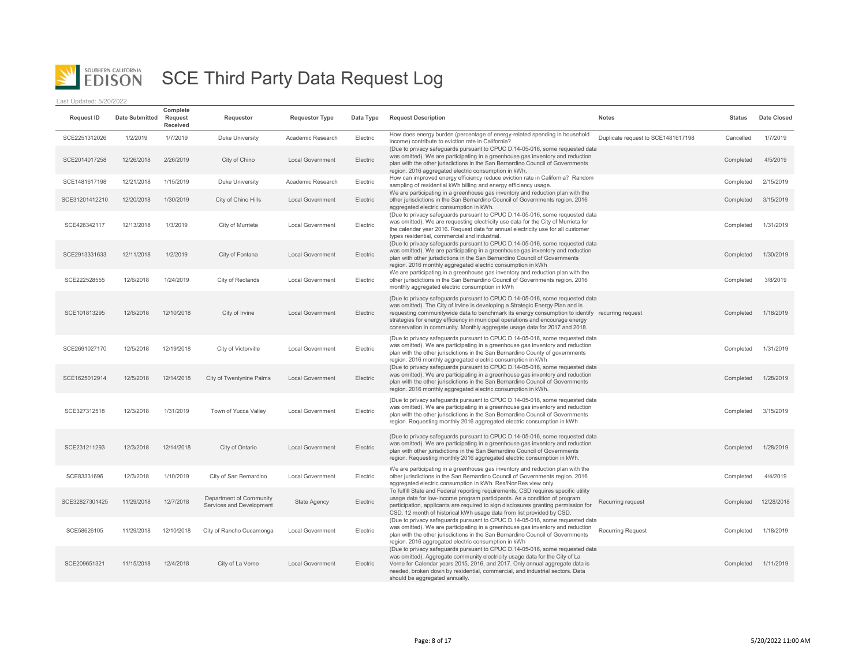

| <b>Request ID</b> | <b>Date Submitted</b> | Complete<br>Request<br>Received | Requestor                                           | <b>Requestor Type</b>   | Data Type | <b>Request Description</b>                                                                                                                                                                                                                                                                                                                                                                                                      | <b>Notes</b>                       | <b>Status</b> | <b>Date Closed</b> |
|-------------------|-----------------------|---------------------------------|-----------------------------------------------------|-------------------------|-----------|---------------------------------------------------------------------------------------------------------------------------------------------------------------------------------------------------------------------------------------------------------------------------------------------------------------------------------------------------------------------------------------------------------------------------------|------------------------------------|---------------|--------------------|
| SCE2251312026     | 1/2/2019              | 1/7/2019                        | Duke University                                     | Academic Research       | Electric  | How does energy burden (percentage of energy-related spending in household<br>income) contribute to eviction rate in California?                                                                                                                                                                                                                                                                                                | Duplicate request to SCE1481617198 | Cancelled     | 1/7/2019           |
| SCE2014017258     | 12/26/2018            | 2/26/2019                       | City of Chino                                       | <b>Local Government</b> | Electric  | (Due to privacy safequards pursuant to CPUC D.14-05-016, some requested data<br>was omitted). We are participating in a greenhouse gas inventory and reduction<br>plan with the other jurisdictions in the San Bernardino Council of Governments<br>region. 2016 aggregated electric consumption in kWh.                                                                                                                        |                                    | Completed     | 4/5/2019           |
| SCE1481617198     | 12/21/2018            | 1/15/2019                       | Duke University                                     | Academic Research       | Electric  | How can improved energy efficiency reduce eviction rate in California? Random<br>sampling of residential kWh billing and energy efficiency usage.                                                                                                                                                                                                                                                                               |                                    | Completed     | 2/15/2019          |
| SCE31201412210    | 12/20/2018            | 1/30/2019                       | City of Chino Hills                                 | <b>Local Government</b> | Electric  | We are participating in a greenhouse gas inventory and reduction plan with the<br>other jurisdictions in the San Bernardino Council of Governments region. 2016<br>aggregated electric consumption in kWh.                                                                                                                                                                                                                      |                                    | Completed     | 3/15/2019          |
| SCE426342117      | 12/13/2018            | 1/3/2019                        | City of Murrieta                                    | <b>Local Government</b> | Electric  | (Due to privacy safeguards pursuant to CPUC D.14-05-016, some requested data<br>was omitted). We are requesting electricity use data for the City of Murrieta for<br>the calendar year 2016. Request data for annual electricity use for all customer<br>types residential, commercial and industrial                                                                                                                           |                                    | Completed     | 1/31/2019          |
| SCE2913331633     | 12/11/2018            | 1/2/2019                        | City of Fontana                                     | <b>Local Government</b> | Electric  | (Due to privacy safeguards pursuant to CPUC D.14-05-016, some requested data<br>was omitted). We are participating in a greenhouse gas inventory and reduction<br>plan with other jurisdictions in the San Bernardino Council of Governments<br>region. 2016 monthly aggregated electric consumption in kWh                                                                                                                     |                                    | Completed     | 1/30/2019          |
| SCE222528555      | 12/6/2018             | 1/24/2019                       | City of Redlands                                    | <b>Local Government</b> | Electric  | We are participating in a greenhouse gas inventory and reduction plan with the<br>other jurisdictions in the San Bernardino Council of Governments region. 2016<br>monthly aggregated electric consumption in kWh                                                                                                                                                                                                               |                                    | Completed     | 3/8/2019           |
| SCE101813295      | 12/6/2018             | 12/10/2018                      | City of Irvine                                      | <b>Local Government</b> | Electric  | (Due to privacy safequards pursuant to CPUC D.14-05-016, some requested data<br>was omitted). The City of Irvine is developing a Strategic Energy Plan and is<br>requesting communitywide data to benchmark its energy consumption to identify recurring request<br>strategies for energy efficiency in municipal operations and encourage energy<br>conservation in community. Monthly aggregate usage data for 2017 and 2018. |                                    | Completed     | 1/18/2019          |
| SCE2691027170     | 12/5/2018             | 12/19/2018                      | City of Victorville                                 | <b>Local Government</b> | Electric  | (Due to privacy safeguards pursuant to CPUC D.14-05-016, some requested data<br>was omitted). We are participating in a greenhouse gas inventory and reduction<br>plan with the other jurisdictions in the San Bernardino County of governments<br>region. 2016 monthly aggregated electric consumption in kWh                                                                                                                  |                                    | Completed     | 1/31/2019          |
| SCE1625012914     | 12/5/2018             | 12/14/2018                      | City of Twentynine Palms                            | <b>Local Government</b> | Electric  | (Due to privacy safeguards pursuant to CPUC D.14-05-016, some requested data<br>was omitted). We are participating in a greenhouse gas inventory and reduction<br>plan with the other jurisdictions in the San Bernardino Council of Governments<br>region. 2016 monthly aggregated electric consumption in kWh.                                                                                                                |                                    | Completed     | 1/28/2019          |
| SCE327312518      | 12/3/2018             | 1/31/2019                       | Town of Yucca Valley                                | <b>Local Government</b> | Electric  | (Due to privacy safeguards pursuant to CPUC D.14-05-016, some requested data<br>was omitted). We are participating in a greenhouse gas inventory and reduction<br>plan with the other jurisdictions in the San Bernardino Council of Governments<br>region. Requesting monthly 2016 aggregated electric consumption in kWh                                                                                                      |                                    | Completed     | 3/15/2019          |
| SCE231211293      | 12/3/2018             | 12/14/2018                      | City of Ontario                                     | <b>Local Government</b> | Electric  | (Due to privacy safeguards pursuant to CPUC D.14-05-016, some requested data<br>was omitted). We are participating in a greenhouse gas inventory and reduction<br>plan with other jurisdictions in the San Bernardino Council of Governments<br>region. Requesting monthly 2016 aggregated electric consumption in kWh.                                                                                                         |                                    | Completed     | 1/28/2019          |
| SCE83331696       | 12/3/2018             | 1/10/2019                       | City of San Bernardino                              | <b>Local Government</b> | Electric  | We are participating in a greenhouse gas inventory and reduction plan with the<br>other jurisdictions in the San Bernardino Council of Governments region. 2016<br>aggregated electric consumption in kWh. Res/NonRes view only.                                                                                                                                                                                                |                                    | Completed     | 4/4/2019           |
| SCE32827301425    | 11/29/2018            | 12/7/2018                       | Department of Community<br>Services and Development | <b>State Agency</b>     | Electric  | To fulfill State and Federal reporting requirements, CSD requires specific utility<br>usage data for low-income program participants. As a condition of program<br>participation, applicants are required to sign disclosures granting permission for<br>CSD. 12 month of historical kWh usage data from list provided by CSD.                                                                                                  | Recurring request                  | Completed     | 12/28/2018         |
| SCE58626105       | 11/29/2018            | 12/10/2018                      | City of Rancho Cucamonga                            | <b>Local Government</b> | Electric  | (Due to privacy safeguards pursuant to CPUC D.14-05-016, some requested data<br>was omitted). We are participating in a greenhouse gas inventory and reduction<br>plan with the other jurisdictions in the San Bernardino Council of Governments<br>region. 2016 aggregated electric consumption in kWh                                                                                                                         | <b>Recurring Request</b>           | Completed     | 1/18/2019          |
| SCE209651321      | 11/15/2018            | 12/4/2018                       | City of La Verne                                    | <b>Local Government</b> | Electric  | (Due to privacy safeguards pursuant to CPUC D.14-05-016, some requested data<br>was omitted). Aggregate community electricity usage data for the City of La<br>Verne for Calendar years 2015, 2016, and 2017. Only annual aggregate data is<br>needed, broken down by residential, commercial, and industrial sectors. Data<br>should be aggregated annually.                                                                   |                                    | Completed     | 1/11/2019          |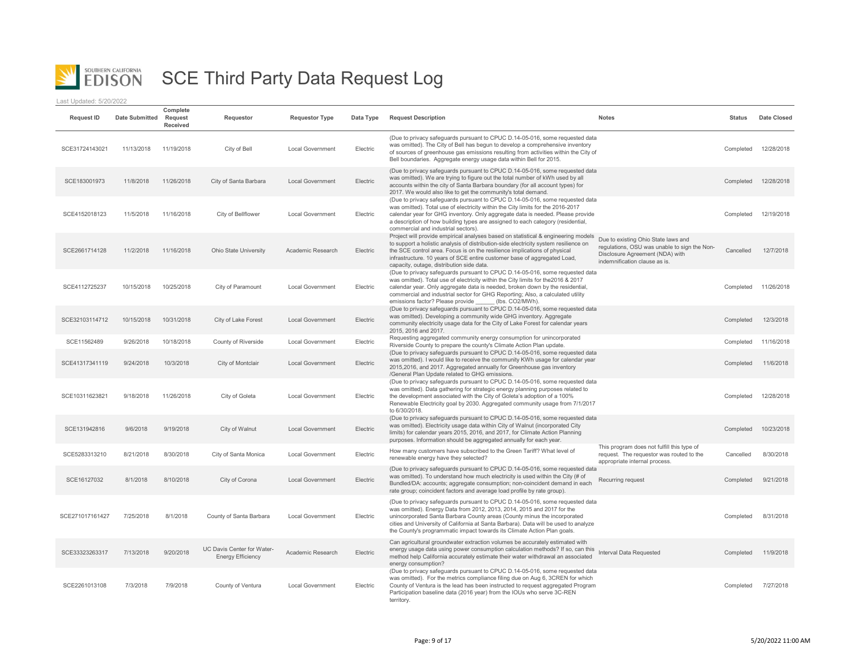

| <b>Request ID</b> | <b>Date Submitted</b> | Complete<br>Request<br>Received | Requestor                                              | <b>Requestor Type</b>   | Data Type | <b>Request Description</b>                                                                                                                                                                                                                                                                                                                                                                           | <b>Notes</b>                                                                                                                                            | <b>Status</b> | <b>Date Closed</b> |
|-------------------|-----------------------|---------------------------------|--------------------------------------------------------|-------------------------|-----------|------------------------------------------------------------------------------------------------------------------------------------------------------------------------------------------------------------------------------------------------------------------------------------------------------------------------------------------------------------------------------------------------------|---------------------------------------------------------------------------------------------------------------------------------------------------------|---------------|--------------------|
| SCE31724143021    | 11/13/2018            | 11/19/2018                      | City of Bell                                           | Local Government        | Electric  | (Due to privacy safeguards pursuant to CPUC D.14-05-016, some requested data<br>was omitted). The City of Bell has begun to develop a comprehensive inventory<br>of sources of greenhouse gas emissions resulting from activities within the City of<br>Bell boundaries. Aggregate energy usage data within Bell for 2015.                                                                           |                                                                                                                                                         | Completed     | 12/28/2018         |
| SCE183001973      | 11/8/2018             | 11/26/2018                      | City of Santa Barbara                                  | <b>Local Government</b> | Electric  | (Due to privacy safeguards pursuant to CPUC D.14-05-016, some requested data<br>was omitted). We are trying to figure out the total number of kWh used by all<br>accounts within the city of Santa Barbara boundary (for all account types) for<br>2017. We would also like to get the community's total demand.                                                                                     |                                                                                                                                                         | Completed     | 12/28/2018         |
| SCE4152018123     | 11/5/2018             | 11/16/2018                      | City of Bellflower                                     | <b>Local Government</b> | Electric  | (Due to privacy safeguards pursuant to CPUC D.14-05-016, some requested data<br>was omitted). Total use of electricity within the City limits for the 2016-2017<br>calendar year for GHG inventory. Only aggregate data is needed. Please provide<br>a description of how building types are assigned to each category (residential,<br>commercial and industrial sectors).                          |                                                                                                                                                         | Completed     | 12/19/2018         |
| SCE2661714128     | 11/2/2018             | 11/16/2018                      | Ohio State University                                  | Academic Research       | Electric  | Project will provide empirical analyses based on statistical & engineering models<br>to support a holistic analysis of distribution-side electricity system resilience on<br>the SCE control area. Focus is on the resilience implications of physical<br>infrastructure. 10 years of SCE entire customer base of aggregated Load,<br>capacity, outage, distribution side data.                      | Due to existing Ohio State laws and<br>regulations, OSU was unable to sign the Non-<br>Disclosure Agreement (NDA) with<br>indemnification clause as is. | Cancelled     | 12/7/2018          |
| SCE4112725237     | 10/15/2018            | 10/25/2018                      | City of Paramount                                      | Local Government        | Electric  | (Due to privacy safeguards pursuant to CPUC D.14-05-016, some requested data<br>was omitted). Total use of electricity within the City limits for the 2016 & 2017<br>calendar year. Only aggregate data is needed, broken down by the residential,<br>commercial and industrial sector for GHG Reporting; Also, a calculated utility<br>emissions factor? Please provide<br>(lbs. CO2/MWh).          |                                                                                                                                                         | Completed     | 11/26/2018         |
| SCE32103114712    | 10/15/2018            | 10/31/2018                      | City of Lake Forest                                    | <b>Local Government</b> | Electric  | (Due to privacy safeguards pursuant to CPUC D.14-05-016, some requested data<br>was omitted). Developing a community wide GHG inventory. Aggregate<br>community electricity usage data for the City of Lake Forest for calendar years<br>2015, 2016 and 2017.                                                                                                                                        |                                                                                                                                                         | Completed     | 12/3/2018          |
| SCE11562489       | 9/26/2018             | 10/18/2018                      | County of Riverside                                    | <b>Local Government</b> | Electric  | Requesting aggregated community energy consumption for unincorporated<br>Riverside County to prepare the county's Climate Action Plan update.                                                                                                                                                                                                                                                        |                                                                                                                                                         | Completed     | 11/16/2018         |
| SCE41317341119    | 9/24/2018             | 10/3/2018                       | City of Montclair                                      | <b>Local Government</b> | Electric  | (Due to privacy safeguards pursuant to CPUC D.14-05-016, some requested data<br>was omitted). I would like to receive the community KWh usage for calendar year<br>2015,2016, and 2017. Aggregated annually for Greenhouse gas inventory<br>/General Plan Update related to GHG emissions.                                                                                                           |                                                                                                                                                         | Completed     | 11/6/2018          |
| SCE10311623821    | 9/18/2018             | 11/26/2018                      | City of Goleta                                         | <b>Local Government</b> | Electric  | (Due to privacy safeguards pursuant to CPUC D.14-05-016, some requested data<br>was omitted). Data gathering for strategic energy planning purposes related to<br>the development associated with the City of Goleta's adoption of a 100%<br>Renewable Electricity goal by 2030. Aggregated community usage from 7/1/2017<br>to 6/30/2018.                                                           |                                                                                                                                                         | Completed     | 12/28/2018         |
| SCE131942816      | 9/6/2018              | 9/19/2018                       | City of Walnut                                         | <b>Local Government</b> | Electric  | (Due to privacy safeguards pursuant to CPUC D.14-05-016, some requested data<br>was omitted). Electricity usage data within City of Walnut (incorporated City<br>limits) for calendar years 2015, 2016, and 2017, for Climate Action Planning<br>purposes. Information should be aggregated annually for each year                                                                                   |                                                                                                                                                         | Completed     | 10/23/2018         |
| SCE5283313210     | 8/21/2018             | 8/30/2018                       | City of Santa Monica                                   | <b>Local Government</b> | Electric  | How many customers have subscribed to the Green Tariff? What level of<br>renewable energy have they selected?                                                                                                                                                                                                                                                                                        | This program does not fulfill this type of<br>request. The requestor was routed to the<br>appropriate internal process.                                 | Cancelled     | 8/30/2018          |
| SCE16127032       | 8/1/2018              | 8/10/2018                       | City of Corona                                         | Local Government        | Electric  | (Due to privacy safeguards pursuant to CPUC D.14-05-016, some requested data<br>was omitted). To understand how much electricity is used within the City (# of<br>Bundled/DA: accounts; aggregate consumption; non-coincident demand in each<br>rate group; coincident factors and average load profile by rate group).                                                                              | Recurring request                                                                                                                                       | Completed     | 9/21/2018          |
| SCE271017161427   | 7/25/2018             | 8/1/2018                        | County of Santa Barbara                                | <b>Local Government</b> | Electric  | (Due to privacy safeguards pursuant to CPUC D.14-05-016, some requested data<br>was omitted). Energy Data from 2012, 2013, 2014, 2015 and 2017 for the<br>unincorporated Santa Barbara County areas (County minus the incorporated<br>cities and University of California at Santa Barbara). Data will be used to analyze<br>the County's programmatic impact towards its Climate Action Plan goals. |                                                                                                                                                         | Completed     | 8/31/2018          |
| SCE33323263317    | 7/13/2018             | 9/20/2018                       | UC Davis Center for Water-<br><b>Energy Efficiency</b> | Academic Research       | Electric  | Can agricultural groundwater extraction volumes be accurately estimated with<br>energy usage data using power consumption calculation methods? If so, can this<br>method help California accurately estimate their water withdrawal an associated<br>energy consumption?                                                                                                                             | Interval Data Requested                                                                                                                                 | Completed     | 11/9/2018          |
| SCE2261013108     | 7/3/2018              | 7/9/2018                        | County of Ventura                                      | <b>Local Government</b> | Electric  | (Due to privacy safeguards pursuant to CPUC D.14-05-016, some requested data<br>was omitted). For the metrics compliance filing due on Aug 6, 3CREN for which<br>County of Ventura is the lead has been instructed to request aggregated Program<br>Participation baseline data (2016 year) from the IOUs who serve 3C-REN<br>territory.                                                             |                                                                                                                                                         | Completed     | 7/27/2018          |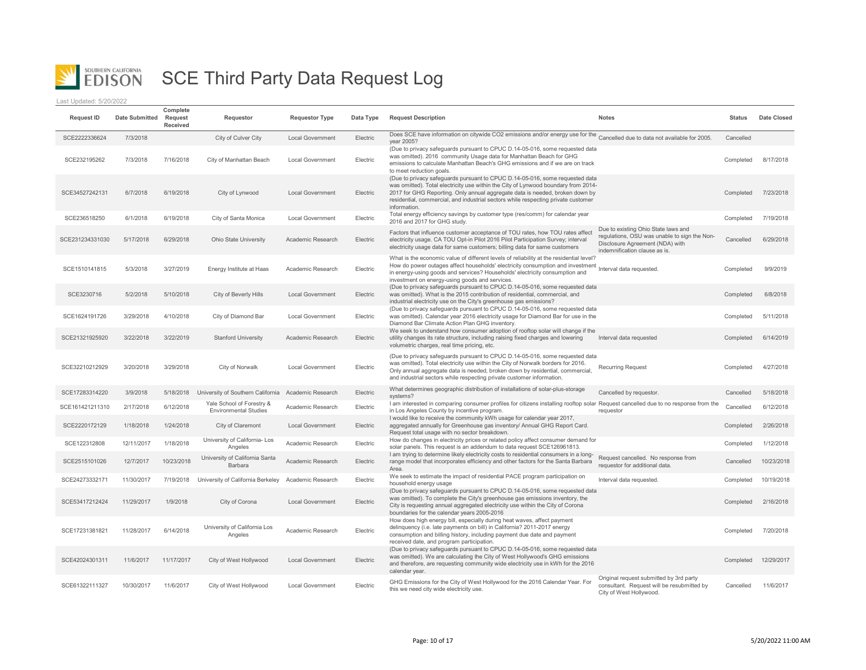

| <b>Request ID</b> | <b>Date Submitted</b> | Complete<br>Request<br>Received | Requestor                                                 | <b>Requestor Type</b>   | Data Type | <b>Request Description</b>                                                                                                                                                                                                                                                                                                                              | <b>Notes</b>                                                                                                                                            | <b>Status</b> | Date Closed |
|-------------------|-----------------------|---------------------------------|-----------------------------------------------------------|-------------------------|-----------|---------------------------------------------------------------------------------------------------------------------------------------------------------------------------------------------------------------------------------------------------------------------------------------------------------------------------------------------------------|---------------------------------------------------------------------------------------------------------------------------------------------------------|---------------|-------------|
| SCE2222336624     | 7/3/2018              |                                 | City of Culver City                                       | <b>Local Government</b> | Electric  | Does SCE have information on citywide CO2 emissions and/or energy use for the Cancelled due to data not available for 2005.<br>year 2005?                                                                                                                                                                                                               |                                                                                                                                                         | Cancelled     |             |
| SCE232195262      | 7/3/2018              | 7/16/2018                       | City of Manhattan Beach                                   | <b>Local Government</b> | Electric  | (Due to privacy safeguards pursuant to CPUC D.14-05-016, some requested data<br>was omitted). 2016 community Usage data for Manhattan Beach for GHG<br>emissions to calculate Manhattan Beach's GHG emissions and if we are on track<br>to meet reduction goals.                                                                                        |                                                                                                                                                         | Completed     | 8/17/2018   |
| SCE34527242131    | 6/7/2018              | 6/19/2018                       | City of Lynwood                                           | <b>Local Government</b> | Electric  | (Due to privacy safeguards pursuant to CPUC D.14-05-016, some requested data<br>was omitted). Total electricity use within the City of Lynwood boundary from 2014-<br>2017 for GHG Reporting. Only annual aggregate data is needed, broken down by<br>residential, commercial, and industrial sectors while respecting private customer<br>information. |                                                                                                                                                         | Completed     | 7/23/2018   |
| SCE236518250      | 6/1/2018              | 6/19/2018                       | City of Santa Monica                                      | <b>Local Government</b> | Electric  | Total energy efficiency savings by customer type (res/comm) for calendar year<br>2016 and 2017 for GHG study.                                                                                                                                                                                                                                           |                                                                                                                                                         | Completed     | 7/19/2018   |
| SCE231234331030   | 5/17/2018             | 6/29/2018                       | Ohio State University                                     | Academic Research       | Electric  | Factors that influence customer acceptance of TOU rates, how TOU rates affect<br>electricity usage. CA TOU Opt-in Pilot 2016 Pilot Participation Survey; interval<br>electricity usage data for same customers; billing data for same customers                                                                                                         | Due to existing Ohio State laws and<br>regulations, OSU was unable to sign the Non-<br>Disclosure Agreement (NDA) with<br>indemnification clause as is. | Cancelled     | 6/29/2018   |
| SCE1510141815     | 5/3/2018              | 3/27/2019                       | Energy Institute at Haas                                  | Academic Research       | Electric  | What is the economic value of different levels of reliability at the residential level?<br>How do power outages affect households' electricity consumption and investment<br>in energy-using goods and services? Households' electricity consumption and<br>investment on energy-using goods and services.                                              | Interval data requested.                                                                                                                                | Completed     | 9/9/2019    |
| SCE3230716        | 5/2/2018              | 5/10/2018                       | City of Beverly Hills                                     | <b>Local Government</b> | Electric  | (Due to privacy safeguards pursuant to CPUC D.14-05-016, some requested data<br>was omitted). What is the 2015 contribution of residential, commercial, and<br>industrial electricity use on the City's greenhouse gas emissions?                                                                                                                       |                                                                                                                                                         | Completed     | 6/8/2018    |
| SCE1624191726     | 3/29/2018             | 4/10/2018                       | City of Diamond Bar                                       | <b>Local Government</b> | Electric  | (Due to privacy safeguards pursuant to CPUC D.14-05-016, some requested data<br>was omitted). Calendar year 2016 electricity usage for Diamond Bar for use in the<br>Diamond Bar Climate Action Plan GHG inventory.                                                                                                                                     |                                                                                                                                                         | Completed     | 5/11/2018   |
| SCE21321925920    | 3/22/2018             | 3/22/2019                       | <b>Stanford University</b>                                | Academic Research       | Electric  | We seek to understand how consumer adoption of rooftop solar will change if the<br>utility changes its rate structure, including raising fixed charges and lowering<br>volumetric charges, real time pricing, etc.                                                                                                                                      | Interval data requested                                                                                                                                 | Completed     | 6/14/2019   |
| SCE32210212929    | 3/20/2018             | 3/29/2018                       | City of Norwalk                                           | <b>Local Government</b> | Electric  | (Due to privacy safeguards pursuant to CPUC D.14-05-016, some requested data<br>was omitted). Total electricity use within the City of Norwalk borders for 2016.<br>Only annual aggregate data is needed, broken down by residential, commercial,<br>and industrial sectors while respecting private customer information.                              | <b>Recurring Request</b>                                                                                                                                | Completed     | 4/27/2018   |
| SCE17283314220    | 3/9/2018              | 5/18/2018                       | University of Southern California                         | Academic Research       | Electric  | What determines geographic distribution of installations of solar-plus-storage<br>systems?                                                                                                                                                                                                                                                              | Cancelled by requestor.                                                                                                                                 | Cancelled     | 5/18/2018   |
| SCE161421211310   | 2/17/2018             | 6/12/2018                       | Yale School of Forestry &<br><b>Environmental Studies</b> | Academic Research       | Electric  | I am interested in comparing consumer profiles for citizens installing rooftop solar Request cancelled due to no response from the<br>in Los Angeles County by incentive program.                                                                                                                                                                       | requestor                                                                                                                                               | Cancelled     | 6/12/2018   |
| SCE2220172129     | 1/18/2018             | 1/24/2018                       | City of Claremont                                         | <b>Local Government</b> | Electric  | I would like to receive the community kWh usage for calendar year 2017,<br>aggregated annually for Greenhouse gas inventory/ Annual GHG Report Card.<br>Request total usage with no sector breakdown.                                                                                                                                                   |                                                                                                                                                         | Completed     | 2/26/2018   |
| SCE122312808      | 12/11/2017            | 1/18/2018                       | University of California-Los<br>Angeles                   | Academic Research       | Electric  | How do changes in electricity prices or related policy affect consumer demand for<br>solar panels. This request is an addendum to data request SCE126961813.                                                                                                                                                                                            |                                                                                                                                                         | Completed     | 1/12/2018   |
| SCE2515101026     | 12/7/2017             | 10/23/2018                      | University of California Santa<br>Barbara                 | Academic Research       | Electric  | I am trying to determine likely electricity costs to residential consumers in a long-<br>range model that incorporates efficiency and other factors for the Santa Barbara<br>Area.                                                                                                                                                                      | Request cancelled. No response from<br>requestor for additional data.                                                                                   | Cancelled     | 10/23/2018  |
| SCE24273332171    | 11/30/2017            | 7/19/2018                       | University of California Berkeley                         | Academic Research       | Electric  | We seek to estimate the impact of residential PACE program participation on<br>household energy usage                                                                                                                                                                                                                                                   | Interval data requested.                                                                                                                                | Completed     | 10/19/2018  |
| SCE53417212424    | 11/29/2017            | 1/9/2018                        | City of Corona                                            | <b>Local Government</b> | Electric  | (Due to privacy safeguards pursuant to CPUC D.14-05-016, some requested data<br>was omitted). To complete the City's greenhouse gas emissions inventory, the<br>City is requesting annual aggregated electricity use within the City of Corona<br>boundaries for the calendar years 2005-2016                                                           |                                                                                                                                                         | Completed     | 2/16/2018   |
| SCE17231381821    | 11/28/2017            | 6/14/2018                       | University of California Los<br>Angeles                   | Academic Research       | Electric  | How does high energy bill, especially during heat waves, affect payment<br>delinquency (i.e. late payments on bill) in California? 2011-2017 energy<br>consumption and billing history, including payment due date and payment<br>received date, and program participation.                                                                             |                                                                                                                                                         | Completed     | 7/20/2018   |
| SCE42024301311    | 11/6/2017             | 11/17/2017                      | City of West Hollywood                                    | <b>Local Government</b> | Electric  | (Due to privacy safeguards pursuant to CPUC D.14-05-016, some requested data<br>was omitted). We are calculating the City of West Hollywood's GHG emissions<br>and therefore, are requesting community wide electricity use in kWh for the 2016<br>calendar year.                                                                                       |                                                                                                                                                         | Completed     | 12/29/2017  |
| SCE61322111327    | 10/30/2017            | 11/6/2017                       | City of West Hollywood                                    | <b>Local Government</b> | Electric  | GHG Emissions for the City of West Hollywood for the 2016 Calendar Year. For<br>this we need city wide electricity use.                                                                                                                                                                                                                                 | Original request submitted by 3rd party<br>consultant. Request will be resubmitted by<br>City of West Hollywood.                                        | Cancelled     | 11/6/2017   |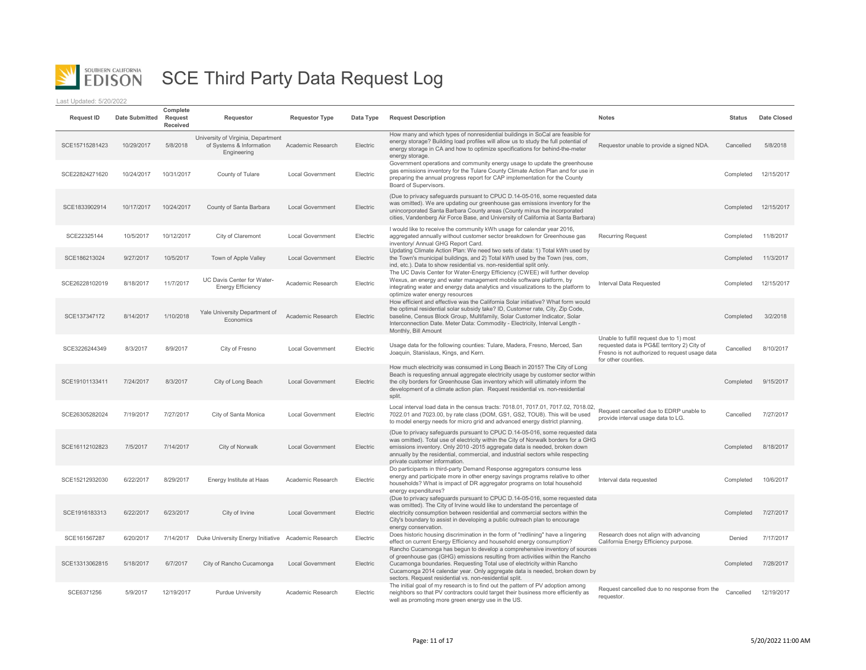

| <b>Request ID</b> | <b>Date Submitted</b> | Complete<br>Request<br>Received | Requestor                                                                     | <b>Requestor Type</b>   | Data Type | <b>Request Description</b>                                                                                                                                                                                                                                                                                                                                                       | <b>Notes</b>                                                                                                                                                     | <b>Status</b> | Date Closed |
|-------------------|-----------------------|---------------------------------|-------------------------------------------------------------------------------|-------------------------|-----------|----------------------------------------------------------------------------------------------------------------------------------------------------------------------------------------------------------------------------------------------------------------------------------------------------------------------------------------------------------------------------------|------------------------------------------------------------------------------------------------------------------------------------------------------------------|---------------|-------------|
| SCE15715281423    | 10/29/2017            | 5/8/2018                        | University of Virginia, Department<br>of Systems & Information<br>Engineering | Academic Research       | Electric  | How many and which types of nonresidential buildings in SoCal are feasible for<br>energy storage? Building load profiles will allow us to study the full potential of<br>energy storage in CA and how to optimize specifications for behind-the-meter<br>energy storage.                                                                                                         | Requestor unable to provide a signed NDA.                                                                                                                        | Cancelled     | 5/8/2018    |
| SCE22824271620    | 10/24/2017            | 10/31/2017                      | County of Tulare                                                              | <b>Local Government</b> | Electric  | Government operations and community energy usage to update the greenhouse<br>gas emissions inventory for the Tulare County Climate Action Plan and for use in<br>preparing the annual progress report for CAP implementation for the County<br>Board of Supervisors.                                                                                                             |                                                                                                                                                                  | Completed     | 12/15/2017  |
| SCE1833902914     | 10/17/2017            | 10/24/2017                      | County of Santa Barbara                                                       | <b>Local Government</b> | Electric  | (Due to privacy safeguards pursuant to CPUC D.14-05-016, some requested data<br>was omitted). We are updating our greenhouse gas emissions inventory for the<br>unincorporated Santa Barbara County areas (County minus the incorporated<br>cities, Vandenberg Air Force Base, and University of California at Santa Barbara)                                                    |                                                                                                                                                                  | Completed     | 12/15/2017  |
| SCE22325144       | 10/5/2017             | 10/12/2017                      | City of Claremont                                                             | Local Government        | Electric  | I would like to receive the community kWh usage for calendar year 2016,<br>aggregated annually without customer sector breakdown for Greenhouse gas<br>inventory/ Annual GHG Report Card.                                                                                                                                                                                        | <b>Recurring Request</b>                                                                                                                                         | Completed     | 11/8/2017   |
| SCE186213024      | 9/27/2017             | 10/5/2017                       | Town of Apple Valley                                                          | <b>Local Government</b> | Electric  | Updating Climate Action Plan: We need two sets of data: 1) Total kWh used by<br>the Town's municipal buildings, and 2) Total kWh used by the Town (res. com,<br>ind, etc.). Data to show residential vs. non-residential split only.                                                                                                                                             |                                                                                                                                                                  | Completed     | 11/3/2017   |
| SCE26228102019    | 8/18/2017             | 11/7/2017                       | UC Davis Center for Water-<br><b>Energy Efficiency</b>                        | Academic Research       | Electric  | The UC Davis Center for Water-Energy Efficiency (CWEE) will further develop<br>Wexus, an energy and water management mobile software platform, by<br>integrating water and energy data analytics and visualizations to the platform to<br>optimize water energy resources                                                                                                        | Interval Data Requested                                                                                                                                          | Completed     | 12/15/2017  |
| SCE137347172      | 8/14/2017             | 1/10/2018                       | Yale University Department of<br>Economics                                    | Academic Research       | Electric  | How efficient and effective was the California Solar initiative? What form would<br>the optimal residential solar subsidy take? ID, Customer rate, City, Zip Code,<br>baseline, Census Block Group, Multifamily, Solar Customer Indicator, Solar<br>Interconnection Date. Meter Data: Commodity - Electricity, Interval Length -<br>Monthly, Bill Amount                         |                                                                                                                                                                  | Completed     | 3/2/2018    |
| SCE3226244349     | 8/3/2017              | 8/9/2017                        | City of Fresno                                                                | <b>Local Government</b> | Electric  | Usage data for the following counties: Tulare, Madera, Fresno, Merced, San<br>Joaquin, Stanislaus, Kings, and Kern.                                                                                                                                                                                                                                                              | Unable to fulfill request due to 1) most<br>requested data is PG&E territory 2) City of<br>Fresno is not authorized to request usage data<br>for other counties. | Cancelled     | 8/10/2017   |
| SCE19101133411    | 7/24/2017             | 8/3/2017                        | City of Long Beach                                                            | <b>Local Government</b> | Electric  | How much electricity was consumed in Long Beach in 2015? The City of Long<br>Beach is requesting annual aggregate electricity usage by customer sector within<br>the city borders for Greenhouse Gas inventory which will ultimately inform the<br>development of a climate action plan. Request residential vs. non-residential<br>split.                                       |                                                                                                                                                                  | Completed     | 9/15/2017   |
| SCE26305282024    | 7/19/2017             | 7/27/2017                       | City of Santa Monica                                                          | <b>Local Government</b> | Electric  | Local interval load data in the census tracts: 7018.01, 7017.01, 7017.02, 7018.02,<br>7022.01 and 7023.00, by rate class (DOM, GS1, GS2, TOU8). This will be used<br>to model energy needs for micro grid and advanced energy district planning.                                                                                                                                 | Request cancelled due to EDRP unable to<br>provide interval usage data to LG.                                                                                    | Cancelled     | 7/27/2017   |
| SCE16112102823    | 7/5/2017              | 7/14/2017                       | City of Norwalk                                                               | <b>Local Government</b> | Electric  | (Due to privacy safeguards pursuant to CPUC D.14-05-016, some requested data<br>was omitted). Total use of electricity within the City of Norwalk borders for a GHG<br>emissions inventory. Only 2010 -2015 aggregate data is needed, broken down<br>annually by the residential, commercial, and industrial sectors while respecting<br>private customer information.           |                                                                                                                                                                  | Completed     | 8/18/2017   |
| SCE15212932030    | 6/22/2017             | 8/29/2017                       | Energy Institute at Haas                                                      | Academic Research       | Electric  | Do participants in third-party Demand Response aggregators consume less<br>energy and participate more in other energy savings programs relative to other<br>households? What is impact of DR aggregator programs on total household<br>energy expenditures?                                                                                                                     | Interval data requested                                                                                                                                          | Completed     | 10/6/2017   |
| SCE1916183313     | 6/22/2017             | 6/23/2017                       | City of Irvine                                                                | <b>Local Government</b> | Electric  | (Due to privacy safeguards pursuant to CPUC D.14-05-016, some requested data<br>was omitted). The City of Irvine would like to understand the percentage of<br>electricity consumption between residential and commercial sectors within the<br>City's boundary to assist in developing a public outreach plan to encourage<br>energy conservation.                              |                                                                                                                                                                  | Completed     | 7/27/2017   |
| SCE161567287      | 6/20/2017             | 7/14/2017                       | Duke University Energy Initiative Academic Research                           |                         | Electric  | Does historic housing discrimination in the form of "redlining" have a lingering<br>effect on current Energy Efficiency and household energy consumption?                                                                                                                                                                                                                        | Research does not align with advancing<br>California Energy Efficiency purpose.                                                                                  | Denied        | 7/17/2017   |
| SCE13313062815    | 5/18/2017             | 6/7/2017                        | City of Rancho Cucamonga                                                      | <b>Local Government</b> | Electric  | Rancho Cucamonga has begun to develop a comprehensive inventory of sources<br>of greenhouse gas (GHG) emissions resulting from activities within the Rancho<br>Cucamonga boundaries. Requesting Total use of electricity within Rancho<br>Cucamonga 2014 calendar year. Only aggregate data is needed, broken down by<br>sectors. Request residential vs. non-residential split. |                                                                                                                                                                  | Completed     | 7/28/2017   |
| SCE6371256        | 5/9/2017              | 12/19/2017                      | Purdue University                                                             | Academic Research       | Electric  | The initial goal of my research is to find out the pattern of PV adoption among<br>neighbors so that PV contractors could target their business more efficiently as<br>well as promoting more green energy use in the US.                                                                                                                                                        | Request cancelled due to no response from the<br>requestor.                                                                                                      | Cancelled     | 12/19/2017  |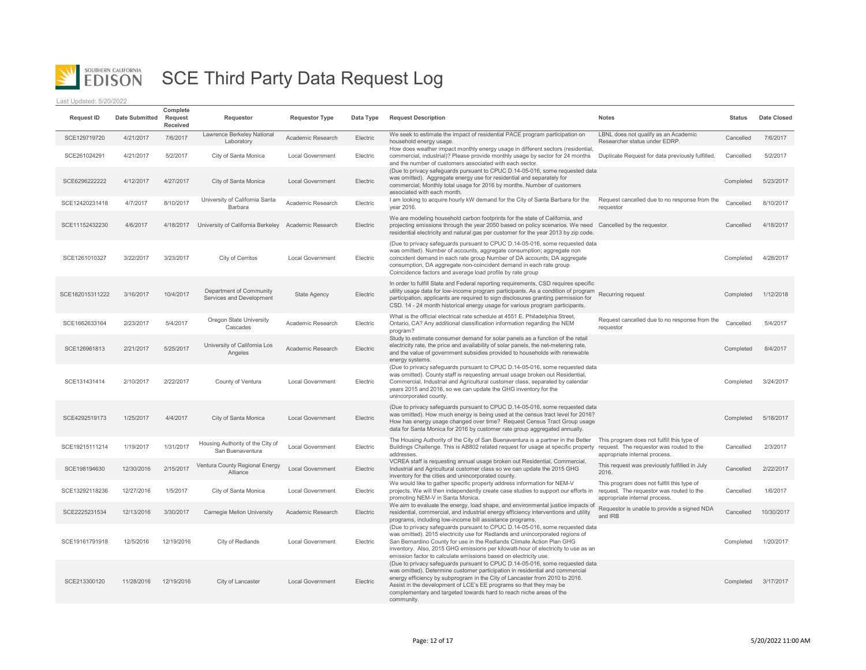

| <b>Request ID</b> | <b>Date Submitted</b> | Complete<br>Request<br>Received | Requestor                                            | <b>Requestor Type</b>   | Data Type | <b>Request Description</b>                                                                                                                                                                                                                                                                                                                                                                             | <b>Notes</b>                                                                                                            | <b>Status</b> | <b>Date Closed</b> |
|-------------------|-----------------------|---------------------------------|------------------------------------------------------|-------------------------|-----------|--------------------------------------------------------------------------------------------------------------------------------------------------------------------------------------------------------------------------------------------------------------------------------------------------------------------------------------------------------------------------------------------------------|-------------------------------------------------------------------------------------------------------------------------|---------------|--------------------|
| SCE129719720      | 4/21/2017             | 7/6/2017                        | Lawrence Berkeley National<br>Laboratory             | Academic Research       | Electric  | We seek to estimate the impact of residential PACE program participation on<br>household energy usage.                                                                                                                                                                                                                                                                                                 | LBNL does not qualify as an Academic<br>Researcher status under EDRP.                                                   | Cancelled     | 7/6/2017           |
| SCE261024291      | 4/21/2017             | 5/2/2017                        | City of Santa Monica                                 | Local Government        | Electric  | How does weather impact monthly energy usage in different sectors (residential,<br>commercial, industrial)? Please provide monthly usage by sector for 24 months<br>and the number of customers associated with each sector.                                                                                                                                                                           | Duplicate Request for data previously fulfilled.                                                                        | Cancelled     | 5/2/2017           |
| SCE6296222222     | 4/12/2017             | 4/27/2017                       | City of Santa Monica                                 | <b>Local Government</b> | Electric  | (Due to privacy safeguards pursuant to CPUC D.14-05-016, some requested data<br>was omitted). Aggregate energy use for residential and separately for<br>commercial; Monthly total usage for 2016 by months. Number of customers<br>associated with each month.                                                                                                                                        |                                                                                                                         | Completed     | 5/23/2017          |
| SCE12420231418    | 4/7/2017              | 8/10/2017                       | University of California Santa<br>Barbara            | Academic Research       | Electric  | I am looking to acquire hourly kW demand for the City of Santa Barbara for the<br>year 2016.                                                                                                                                                                                                                                                                                                           | Request cancelled due to no response from the<br>requestor                                                              | Cancelled     | 8/10/2017          |
| SCE11152432230    | 4/6/2017              | 4/18/2017                       | University of California Berkeley Academic Research  |                         | Electric  | We are modeling household carbon footprints for the state of California, and<br>projecting emissions through the year 2050 based on policy scenarios. We need<br>residential electricity and natural gas per customer for the year 2013 by zip code.                                                                                                                                                   | Cancelled by the requestor.                                                                                             | Cancelled     | 4/18/2017          |
| SCE1261010327     | 3/22/2017             | 3/23/2017                       | City of Cerritos                                     | Local Government        | Electric  | (Due to privacy safeguards pursuant to CPUC D.14-05-016, some requested data<br>was omitted). Number of accounts, aggregate consumption; aggregate non<br>coincident demand in each rate group Number of DA accounts; DA aggregate<br>consumption, DA aggregate non-coincident demand in each rate group<br>Coincidence factors and average load profile by rate group                                 |                                                                                                                         | Completed     | 4/28/2017          |
| SCE182015311222   | 3/16/2017             | 10/4/2017                       | Department of Community<br>Services and Development  | <b>State Agency</b>     | Electric  | In order to fulfill State and Federal reporting requirements, CSD requires specific<br>utility usage data for low-income program participants. As a condition of program<br>participation, applicants are required to sign disclosures granting permission for<br>CSD. 14 - 24 month historical energy usage for various program participants.                                                         | Recurring request                                                                                                       | Completed     | 1/12/2018          |
| SCE1662633164     | 2/23/2017             | 5/4/2017                        | Oregon State University<br>Cascades                  | Academic Research       | Electric  | What is the official electrical rate schedule at 4551 E. Philadelphia Street,<br>Ontario, CA? Any additional classification information regarding the NEM<br>program?                                                                                                                                                                                                                                  | Request cancelled due to no response from the<br>requestor                                                              | Cancelled     | 5/4/2017           |
| SCE126961813      | 2/21/2017             | 5/25/2017                       | University of California Los<br>Angeles              | Academic Research       | Electric  | Study to estimate consumer demand for solar panels as a function of the retail<br>electricity rate, the price and availability of solar panels, the net-metering rate,<br>and the value of government subsidies provided to households with renewable<br>energy systems.                                                                                                                               |                                                                                                                         | Completed     | 8/4/2017           |
| SCE131431414      | 2/10/2017             | 2/22/2017                       | County of Ventura                                    | <b>Local Government</b> | Electric  | (Due to privacy safeguards pursuant to CPUC D.14-05-016, some requested data<br>was omitted). County staff is requesting annual usage broken out Residential,<br>Commercial, Industrial and Agricultural customer class, separated by calendar<br>years 2015 and 2016, so we can update the GHG inventory for the<br>unincorporated county.                                                            |                                                                                                                         | Completed     | 3/24/2017          |
| SCE4292519173     | 1/25/2017             | 4/4/2017                        | City of Santa Monica                                 | <b>Local Government</b> | Electric  | (Due to privacy safeguards pursuant to CPUC D.14-05-016, some requested data<br>was omitted). How much energy is being used at the census tract level for 2016?<br>How has energy usage changed over time? Request Census Tract Group usage<br>data for Santa Monica for 2016 by customer rate group aggregated annually.                                                                              |                                                                                                                         | Completed     | 5/18/2017          |
| SCE19215111214    | 1/19/2017             | 1/31/2017                       | Housing Authority of the City of<br>San Buenaventura | <b>Local Government</b> | Electric  | The Housing Authority of the City of San Buenaventura is a partner in the Better<br>Buildings Challenge. This is AB802 related request for usage at specific property request. The requestor was routed to the<br>addresses                                                                                                                                                                            | This program does not fulfill this type of<br>appropriate internal process                                              | Cancelled     | 2/3/2017           |
| SCE198194630      | 12/30/2016            | 2/15/2017                       | Ventura County Regional Energy<br>Alliance           | <b>Local Government</b> | Electric  | VCREA staff is requesting annual usage broken out Residential, Commercial,<br>Industrial and Agricultural customer class so we can update the 2015 GHG<br>inventory for the cities and unincorporated county.                                                                                                                                                                                          | This request was previously fulfilled in July<br>2016.                                                                  | Cancelled     | 2/22/2017          |
| SCE13292118236    | 12/27/2016            | 1/5/2017                        | City of Santa Monica                                 | <b>Local Government</b> | Electric  | We would like to gather specific property address information for NEM-V<br>projects. We will then independently create case studies to support our efforts in<br>promoting NEM-V in Santa Monica.                                                                                                                                                                                                      | This program does not fulfill this type of<br>request. The requestor was routed to the<br>appropriate internal process. | Cancelled     | 1/6/2017           |
| SCE2225231534     | 12/13/2016            | 3/30/2017                       | Carnegie Mellon University                           | Academic Research       | Electric  | We aim to evaluate the energy, load shape, and environmental justice impacts of<br>residential, commercial, and industrial energy efficiency interventions and utility<br>programs, including low-income bill assistance programs.                                                                                                                                                                     | Requestor is unable to provide a signed NDA<br>and IRB                                                                  | Cancelled     | 10/30/2017         |
| SCE19161791918    | 12/5/2016             | 12/19/2016                      | City of Redlands                                     | <b>Local Government</b> | Electric  | (Due to privacy safeguards pursuant to CPUC D.14-05-016, some requested data<br>was omitted). 2015 electricity use for Redlands and unincorporated regions of<br>San Bernardino County for use in the Redlands Climate Action Plan GHG<br>inventory. Also, 2015 GHG emissions per kilowatt-hour of electricity to use as an<br>emission factor to calculate emissions based on electricity use.        |                                                                                                                         | Completed     | 1/20/2017          |
| SCE213300120      | 11/28/2016            | 12/19/2016                      | City of Lancaster                                    | <b>Local Government</b> | Electric  | (Due to privacy safeguards pursuant to CPUC D.14-05-016, some requested data<br>was omitted). Determine customer participation in residential and commercial<br>energy efficiency by subprogram in the City of Lancaster from 2010 to 2016.<br>Assist in the development of LCE's EE programs so that they may be<br>complementary and targeted towards hard to reach niche areas of the<br>community. |                                                                                                                         | Completed     | 3/17/2017          |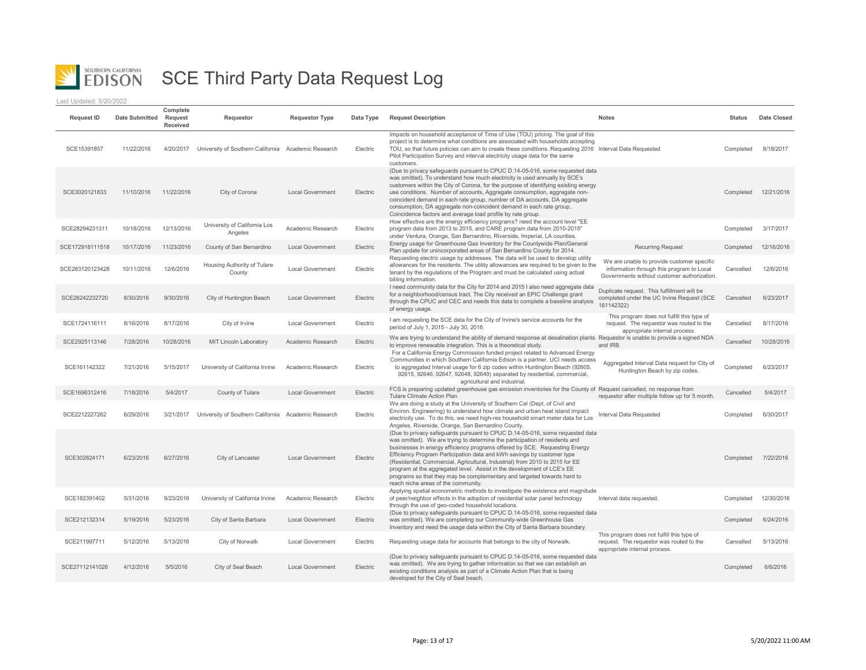

| <b>Request ID</b> | <b>Date Submitted</b> | Complete<br>Request<br>Received | Requestor                                           | <b>Requestor Type</b>   | Data Type | <b>Request Description</b>                                                                                                                                                                                                                                                                                                                                                                                                                                                                                                                                                                      | <b>Notes</b>                                                                                                                           | <b>Status</b> | Date Closed |
|-------------------|-----------------------|---------------------------------|-----------------------------------------------------|-------------------------|-----------|-------------------------------------------------------------------------------------------------------------------------------------------------------------------------------------------------------------------------------------------------------------------------------------------------------------------------------------------------------------------------------------------------------------------------------------------------------------------------------------------------------------------------------------------------------------------------------------------------|----------------------------------------------------------------------------------------------------------------------------------------|---------------|-------------|
| SCE15391857       | 11/22/2016            | 4/20/2017                       | University of Southern California Academic Research |                         | Electric  | Impacts on household acceptance of Time of Use (TOU) pricing. The goal of this<br>project is to determine what conditions are associated with households accepting<br>TOU, so that future policies can aim to create these conditions. Requesting 2016 Interval Data Requested<br>Pilot Participation Survey and interval electricity usage data for the same<br>customers                                                                                                                                                                                                                      |                                                                                                                                        | Completed     | 8/18/2017   |
| SCE3020121833     | 11/10/2016            | 11/22/2016                      | City of Corona                                      | <b>Local Government</b> | Electric  | (Due to privacy safeguards pursuant to CPUC D.14-05-016, some requested data<br>was omitted). To understand how much electricity is used annually by SCE's<br>customers within the City of Corona, for the purpose of identifying existing energy<br>use conditions. Number of accounts, Aggregate consumption, aggregate non-<br>coincident demand in each rate group, number of DA accounts, DA aggregate<br>consumption, DA aggregate non-coincident demand in each rate group,<br>Coincidence factors and average load profile by rate group.                                               |                                                                                                                                        | Completed     | 12/21/2016  |
| SCE28294231311    | 10/18/2016            | 12/13/2016                      | University of California Los<br>Angeles             | Academic Research       | Electric  | How effective are the energy efficiency programs? need the account level "EE<br>program data from 2013 to 2015, and CARE program data from 2010-2015"<br>under Ventura, Orange, San Bernardino, Riverside, Imperial, LA counties.                                                                                                                                                                                                                                                                                                                                                               |                                                                                                                                        | Completed     | 3/17/2017   |
| SCE172918111518   | 10/17/2016            | 11/23/2016                      | County of San Bernardino                            | <b>Local Government</b> | Electric  | Energy usage for Greenhouse Gas Inventory for the Countywide Plan/General<br>Plan update for unincorporated areas of San Bernardino County for 2014.                                                                                                                                                                                                                                                                                                                                                                                                                                            | <b>Recurring Request</b>                                                                                                               | Completed     | 12/16/2016  |
| SCE283120123428   | 10/11/2016            | 12/6/2016                       | Housing Authority of Tulare<br>County               | <b>Local Government</b> | Electric  | Requesting electric usage by addresses. The data will be used to develop utility<br>allowances for the residents. The utility allowances are required to be given to the<br>tenant by the regulations of the Program and must be calculated using actual<br>billing information.                                                                                                                                                                                                                                                                                                                | We are unable to provide customer specific<br>information through this program to Local<br>Governments without customer authorization. | Cancelled     | 12/6/2016   |
| SCE26242232720    | 8/30/2016             | 9/30/2016                       | City of Huntington Beach                            | <b>Local Government</b> | Electric  | I need community data for the City for 2014 and 2015 I also need aggregate data<br>for a neighborhood/census tract. The City received an EPIC Challenge grant<br>through the CPUC and CEC and needs this data to complete a baseline analysis<br>of energy usage.                                                                                                                                                                                                                                                                                                                               | Duplicate request. This fulfillment will be<br>completed under the UC Irvine Request (SCE<br>161142322)                                | Cancelled     | 6/23/2017   |
| SCE1724116111     | 8/16/2016             | 8/17/2016                       | City of Irvine                                      | <b>Local Government</b> | Electric  | I am requesting the SCE data for the City of Irvine's service accounts for the<br>period of July 1, 2015 - July 30, 2016                                                                                                                                                                                                                                                                                                                                                                                                                                                                        | This program does not fulfill this type of<br>request. The requestor was routed to the<br>appropriate internal process.                | Cancelled     | 8/17/2016   |
| SCE2925113146     | 7/28/2016             | 10/28/2016                      | <b>MIT Lincoln Laboratory</b>                       | Academic Research       | Electric  | We are trying to understand the ability of demand response at desalination plants Requestor is unable to provide a signed NDA<br>to improve renewable integration. This is a theoretical study.<br>For a California Energy Commission funded project related to Advanced Energy                                                                                                                                                                                                                                                                                                                 | and IRB.                                                                                                                               | Cancelled     | 10/28/2016  |
| SCE161142322      | 7/21/2016             | 5/15/2017                       | University of California Irvine                     | Academic Research       | Electric  | Communities in which Southern California Edison is a partner, UCI needs access<br>to aggregated Interval usage for 6 zip codes within Huntington Beach (92605,<br>92615, 92646, 92647, 92648, 92649) separated by residential, commercial,<br>agricultural and industrial.                                                                                                                                                                                                                                                                                                                      | Aggregated Interval Data request for City of<br>Huntington Beach by zip codes.                                                         | Completed     | 6/23/2017   |
| SCE1696312416     | 7/18/2016             | 5/4/2017                        | County of Tulare                                    | <b>Local Government</b> | Electric  | FCS is preparing updated greenhouse gas emission inventories for the County of Request cancelled, no response from<br>Tulare Climate Action Plan                                                                                                                                                                                                                                                                                                                                                                                                                                                | requestor after multiple follow up for 5 month.                                                                                        | Cancelled     | 5/4/2017    |
| SCE2212227262     | 6/29/2016             | 3/21/2017                       | University of Southern California Academic Research |                         | Electric  | We are doing a study at the University of Southern Cal (Dept. of Civil and<br>Environ. Engineering) to understand how climate and urban heat island impact<br>electricity use. To do this, we need high-res household smart meter data for Los<br>Angeles, Riverside, Orange, San Bernardino County.                                                                                                                                                                                                                                                                                            | Interval Data Requested                                                                                                                | Completed     | 6/30/2017   |
| SCE302824171      | 6/23/2016             | 6/27/2016                       | City of Lancaster                                   | <b>Local Government</b> | Electric  | (Due to privacy safeguards pursuant to CPUC D.14-05-016, some requested data<br>was omitted). We are trying to determine the participation of residents and<br>businesses in energy efficiency programs offered by SCE. Requesting Energy<br>Efficiency Program Participation data and kWh savings by customer type<br>(Residential, Commercial, Agricultural, Industrial) from 2010 to 2015 for EE<br>program at the aggregated level. Assist in the development of LCE's EE<br>programs so that they may be complementary and targeted towards hard to<br>reach niche areas of the community. |                                                                                                                                        | Completed     | 7/22/2016   |
| SCE182391402      | 5/31/2016             | 9/23/2016                       | University of California Irvine                     | Academic Research       | Electric  | Applying spatial econometric methods to investigate the existence and magnitude<br>of peer/neighbor effects in the adoption of residential solar panel technology<br>through the use of geo-coded household locations.                                                                                                                                                                                                                                                                                                                                                                          | Interval data requested.                                                                                                               | Completed     | 12/30/2016  |
| SCE212132314      | 5/19/2016             | 5/23/2016                       | City of Santa Barbara                               | Local Government        | Electric  | (Due to privacy safeguards pursuant to CPUC D.14-05-016, some requested data<br>was omitted). We are completing our Community-wide Greenhouse Gas<br>Inventory and need the usage data within the City of Santa Barbara boundary                                                                                                                                                                                                                                                                                                                                                                |                                                                                                                                        | Completed     | 6/24/2016   |
| SCE211997711      | 5/12/2016             | 5/13/2016                       | City of Norwalk                                     | <b>Local Government</b> | Electric  | Requesting usage data for accounts that belongs to the city of Norwalk.                                                                                                                                                                                                                                                                                                                                                                                                                                                                                                                         | This program does not fulfill this type of<br>request. The requestor was routed to the<br>appropriate internal process.                | Cancelled     | 5/13/2016   |
| SCE27112141026    | 4/12/2016             | 5/5/2016                        | City of Seal Beach                                  | <b>Local Government</b> | Electric  | (Due to privacy safeguards pursuant to CPUC D.14-05-016, some requested data<br>was omitted). We are trying to gather information so that we can establish an<br>existing conditions analysis as part of a Climate Action Plan that is being<br>developed for the City of Seal beach.                                                                                                                                                                                                                                                                                                           |                                                                                                                                        | Completed     | 6/6/2016    |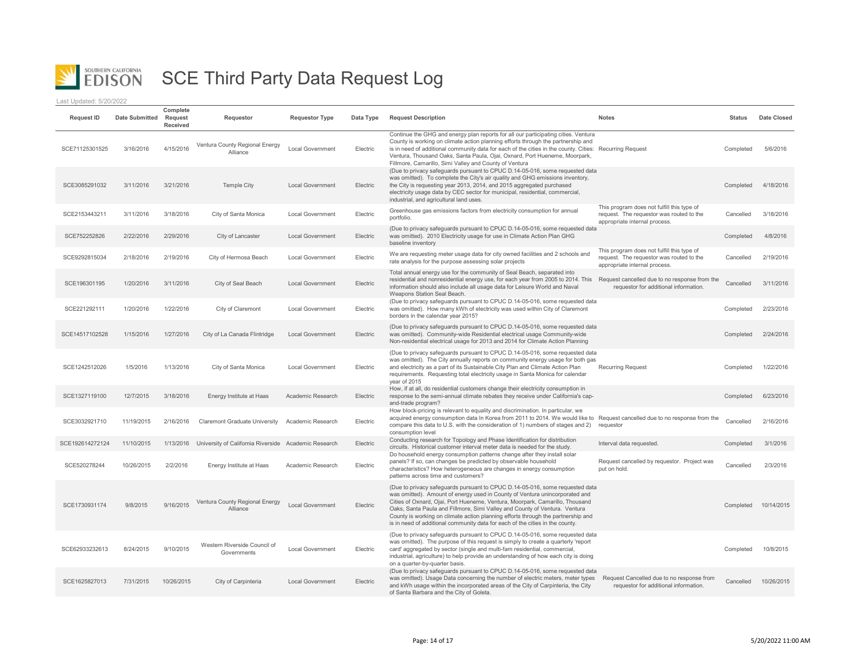

| <b>Request ID</b> | <b>Date Submitted</b> | Complete<br>Request<br>Received | Requestor                                            | <b>Requestor Type</b>   | Data Type | <b>Request Description</b>                                                                                                                                                                                                                                                                                                                                                                                                                                                                     | <b>Notes</b>                                                                                                            | <b>Status</b> | Date Closed |
|-------------------|-----------------------|---------------------------------|------------------------------------------------------|-------------------------|-----------|------------------------------------------------------------------------------------------------------------------------------------------------------------------------------------------------------------------------------------------------------------------------------------------------------------------------------------------------------------------------------------------------------------------------------------------------------------------------------------------------|-------------------------------------------------------------------------------------------------------------------------|---------------|-------------|
| SCE71125301525    | 3/16/2016             | 4/15/2016                       | Ventura County Regional Energy<br>Alliance           | Local Government        | Electric  | Continue the GHG and energy plan reports for all our participating cities. Ventura<br>County is working on climate action planning efforts through the partnership and<br>is in need of additional community data for each of the cities in the county. Cities: Recurring Request<br>Ventura, Thousand Oaks, Santa Paula, Ojai, Oxnard, Port Hueneme, Moorpark,<br>Fillmore, Camarillo, Simi Valley and County of Ventura                                                                      |                                                                                                                         | Completed     | 5/6/2016    |
| SCE3085291032     | 3/11/2016             | 3/21/2016                       | <b>Temple City</b>                                   | <b>Local Government</b> | Electric  | (Due to privacy safeguards pursuant to CPUC D.14-05-016, some requested data<br>was omitted). To complete the City's air quality and GHG emissions inventory,<br>the City is requesting year 2013, 2014, and 2015 aggregated purchased<br>electricity usage data by CEC sector for municipal, residential, commercial,<br>industrial, and agricultural land uses.                                                                                                                              |                                                                                                                         | Completed     | 4/18/2016   |
| SCE2153443211     | 3/11/2016             | 3/18/2016                       | City of Santa Monica                                 | <b>Local Government</b> | Electric  | Greenhouse gas emissions factors from electricity consumption for annual<br>portfolio.                                                                                                                                                                                                                                                                                                                                                                                                         | This program does not fulfill this type of<br>request. The requestor was routed to the<br>appropriate internal process. | Cancelled     | 3/18/2016   |
| SCE752252826      | 2/22/2016             | 2/29/2016                       | City of Lancaster                                    | <b>Local Government</b> | Electric  | (Due to privacy safeguards pursuant to CPUC D.14-05-016, some requested data<br>was omitted). 2010 Electricity usage for use in Climate Action Plan GHG<br>baseline inventory                                                                                                                                                                                                                                                                                                                  |                                                                                                                         | Completed     | 4/8/2016    |
| SCE9292815034     | 2/18/2016             | 2/19/2016                       | City of Hermosa Beach                                | <b>Local Government</b> | Electric  | We are requesting meter usage data for city owned facilities and 2 schools and<br>rate analysis for the purpose assessing solar projects                                                                                                                                                                                                                                                                                                                                                       | This program does not fulfill this type of<br>request. The requestor was routed to the<br>appropriate internal process. | Cancelled     | 2/19/2016   |
| SCE196301195      | 1/20/2016             | 3/11/2016                       | City of Seal Beach                                   | <b>Local Government</b> | Electric  | Total annual energy use for the community of Seal Beach, separated into<br>residential and nonresidential energy use, for each year from 2005 to 2014. This Request cancelled due to no response from the<br>information should also include all usage data for Leisure World and Naval<br>Weapons Station Seal Beach.                                                                                                                                                                         | requestor for additional information.                                                                                   | Cancelled     | 3/11/2016   |
| SCE221292111      | 1/20/2016             | 1/22/2016                       | City of Claremont                                    | <b>Local Government</b> | Electric  | (Due to privacy safeguards pursuant to CPUC D.14-05-016, some requested data<br>was omitted). How many kWh of electricity was used within City of Claremont<br>borders in the calendar year 2015?                                                                                                                                                                                                                                                                                              |                                                                                                                         | Completed     | 2/23/2016   |
| SCE14517102528    | 1/15/2016             | 1/27/2016                       | City of La Canada Flintridge                         | <b>Local Government</b> | Electric  | (Due to privacy safeguards pursuant to CPUC D.14-05-016, some requested data<br>was omitted). Community-wide Residential electrical usage Community-wide<br>Non-residential electrical usage for 2013 and 2014 for Climate Action Planning                                                                                                                                                                                                                                                     |                                                                                                                         | Completed     | 2/24/2016   |
| SCE1242512026     | 1/5/2016              | 1/13/2016                       | City of Santa Monica                                 | <b>Local Government</b> | Electric  | (Due to privacy safeguards pursuant to CPUC D.14-05-016, some requested data<br>was omitted). The City annually reports on community energy usage for both gas<br>and electricity as a part of its Sustainable City Plan and Climate Action Plan<br>requirements. Requesting total electricity usage in Santa Monica for calendar<br>year of 2015                                                                                                                                              | <b>Recurring Request</b>                                                                                                | Completed     | 1/22/2016   |
| SCE1327119100     | 12/7/2015             | 3/18/2016                       | Energy Institute at Haas                             | Academic Research       | Electric  | How, if at all, do residential customers change their electricity consumption in<br>response to the semi-annual climate rebates they receive under California's cap-<br>and-trade program?                                                                                                                                                                                                                                                                                                     |                                                                                                                         | Completed     | 6/23/2016   |
| SCE3032921710     | 11/19/2015            | 2/16/2016                       | <b>Claremont Graduate University</b>                 | Academic Research       | Electric  | How block-pricing is relevant to equality and discrimination. In particular, we<br>acquired energy consumption data In Korea from 2011 to 2014. We would like to Request cancelled due to no response from the<br>compare this data to U.S. with the consideration of 1) numbers of stages and 2)<br>consumption level                                                                                                                                                                         | requestor                                                                                                               | Cancelled     | 2/16/2016   |
| SCE192614272124   | 11/10/2015            | 1/13/2016                       | University of California Riverside Academic Research |                         | Electric  | Conducting research for Topology and Phase Identification for distribution<br>circuits. Historical customer interval meter data is needed for the study.                                                                                                                                                                                                                                                                                                                                       | Interval data requested.                                                                                                | Completed     | 3/1/2016    |
| SCE520278244      | 10/26/2015            | 2/2/2016                        | Energy Institute at Haas                             | Academic Research       | Electric  | Do household energy consumption patterns change after they install solar<br>panels? If so, can changes be predicted by observable household<br>characteristics? How heterogeneous are changes in energy consumption<br>patterns across time and customers?                                                                                                                                                                                                                                     | Request cancelled by requestor. Project was<br>put on hold.                                                             | Cancelled     | 2/3/2016    |
| SCE1730931174     | 9/8/2015              | 9/16/2015                       | Ventura County Regional Energy<br>Alliance           | <b>Local Government</b> | Electric  | (Due to privacy safeguards pursuant to CPUC D.14-05-016, some requested data<br>was omitted). Amount of energy used in County of Ventura unincorporated and<br>Cities of Oxnard, Ojai, Port Hueneme, Ventura, Moorpark, Camarillo, Thousand<br>Oaks, Santa Paula and Fillmore, Simi Valley and County of Ventura. Ventura<br>County is working on climate action planning efforts through the partnership and<br>is in need of additional community data for each of the cities in the county. |                                                                                                                         | Completed     | 10/14/2015  |
| SCE62933232613    | 8/24/2015             | 9/10/2015                       | Western Riverside Council of<br>Governments          | <b>Local Government</b> | Electric  | (Due to privacy safeguards pursuant to CPUC D.14-05-016, some requested data<br>was omitted). The purpose of this request is simply to create a quarterly 'report<br>card' aggregated by sector (single and multi-fam residential, commercial,<br>industrial, agriculture) to help provide an understanding of how each city is doing<br>on a quarter-by-quarter basis.                                                                                                                        |                                                                                                                         | Completed     | 10/8/2015   |
| SCE1625827013     | 7/31/2015             | 10/26/2015                      | City of Carpinteria                                  | <b>Local Government</b> | Electric  | (Due to privacy safeguards pursuant to CPUC D.14-05-016, some requested data<br>was omitted). Usage Data concerning the number of electric meters, meter types<br>and kWh usage within the incorporated areas of the City of Carpinteria, the City<br>of Santa Barbara and the City of Goleta.                                                                                                                                                                                                 | Request Cancelled due to no response from<br>requestor for additional information.                                      | Cancelled     | 10/26/2015  |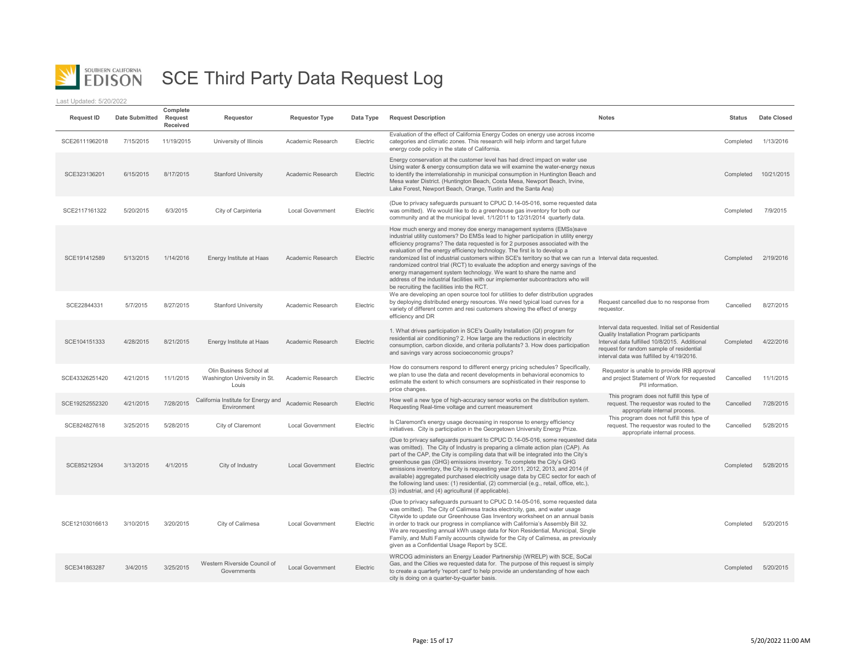

| <b>Request ID</b> | <b>Date Submitted</b> | Complete<br>Request<br>Received | Requestor                                                        | <b>Requestor Type</b>   | Data Type | <b>Request Description</b>                                                                                                                                                                                                                                                                                                                                                                                                                                                                                                                                                                                                                                                                                                             | <b>Notes</b>                                                                                                                                                                                                                               | <b>Status</b> | <b>Date Closed</b> |
|-------------------|-----------------------|---------------------------------|------------------------------------------------------------------|-------------------------|-----------|----------------------------------------------------------------------------------------------------------------------------------------------------------------------------------------------------------------------------------------------------------------------------------------------------------------------------------------------------------------------------------------------------------------------------------------------------------------------------------------------------------------------------------------------------------------------------------------------------------------------------------------------------------------------------------------------------------------------------------------|--------------------------------------------------------------------------------------------------------------------------------------------------------------------------------------------------------------------------------------------|---------------|--------------------|
| SCE26111962018    | 7/15/2015             | 11/19/2015                      | University of Illinois                                           | Academic Research       | Electric  | Evaluation of the effect of California Energy Codes on energy use across income<br>categories and climatic zones. This research will help inform and target future<br>energy code policy in the state of California.                                                                                                                                                                                                                                                                                                                                                                                                                                                                                                                   |                                                                                                                                                                                                                                            | Completed     | 1/13/2016          |
| SCE323136201      | 6/15/2015             | 8/17/2015                       | <b>Stanford University</b>                                       | Academic Research       | Electric  | Energy conservation at the customer level has had direct impact on water use<br>Using water & energy consumption data we will examine the water-energy nexus<br>to identify the interrelationship in municipal consumption in Huntington Beach and<br>Mesa water District. (Huntington Beach, Costa Mesa, Newport Beach, Irvine,<br>Lake Forest, Newport Beach, Orange, Tustin and the Santa Ana)                                                                                                                                                                                                                                                                                                                                      |                                                                                                                                                                                                                                            | Completed     | 10/21/2015         |
| SCE2117161322     | 5/20/2015             | 6/3/2015                        | City of Carpinteria                                              | <b>Local Government</b> | Electric  | (Due to privacy safeguards pursuant to CPUC D.14-05-016, some requested data<br>was omitted). We would like to do a greenhouse gas inventory for both our<br>community and at the municipal level. 1/1/2011 to 12/31/2014 quarterly data.                                                                                                                                                                                                                                                                                                                                                                                                                                                                                              |                                                                                                                                                                                                                                            | Completed     | 7/9/2015           |
| SCE191412589      | 5/13/2015             | 1/14/2016                       | Energy Institute at Haas                                         | Academic Research       | Electric  | How much energy and money doe energy management systems (EMSs)save<br>industrial utility customers? Do EMSs lead to higher participation in utility energy<br>efficiency programs? The data requested is for 2 purposes associated with the<br>evaluation of the energy efficiency technology. The first is to develop a<br>randomized list of industrial customers within SCE's territory so that we can run a Interval data requested.<br>randomized control trial (RCT) to evaluate the adoption and energy savings of the<br>energy management system technology. We want to share the name and<br>address of the industrial facilities with our implementer subcontractors who will<br>be recruiting the facilities into the RCT. |                                                                                                                                                                                                                                            | Completed     | 2/19/2016          |
| SCE22844331       | 5/7/2015              | 8/27/2015                       | <b>Stanford University</b>                                       | Academic Research       | Electric  | We are developing an open source tool for utilities to defer distribution upgrades<br>by deploying distributed energy resources. We need typical load curves for a<br>variety of different comm and resi customers showing the effect of energy<br>efficiency and DR                                                                                                                                                                                                                                                                                                                                                                                                                                                                   | Request cancelled due to no response from<br>requestor.                                                                                                                                                                                    | Cancelled     | 8/27/2015          |
| SCE104151333      | 4/28/2015             | 8/21/2015                       | Energy Institute at Haas                                         | Academic Research       | Electric  | 1. What drives participation in SCE's Quality Installation (QI) program for<br>residential air conditioning? 2. How large are the reductions in electricity<br>consumption, carbon dioxide, and criteria pollutants? 3. How does participation<br>and savings vary across socioeconomic groups?                                                                                                                                                                                                                                                                                                                                                                                                                                        | Interval data requested. Initial set of Residential<br>Quality Installation Program participants<br>Interval data fulfilled 10/8/2015. Additional<br>request for random sample of residential<br>interval data was fulfilled by 4/19/2016. | Completed     | 4/22/2016          |
| SCE43326251420    | 4/21/2015             | 11/1/2015                       | Olin Business School at<br>Washington University in St.<br>Louis | Academic Research       | Electric  | How do consumers respond to different energy pricing schedules? Specifically,<br>we plan to use the data and recent developments in behavioral economics to<br>estimate the extent to which consumers are sophisticated in their response to<br>price changes.                                                                                                                                                                                                                                                                                                                                                                                                                                                                         | Requestor is unable to provide IRB approval<br>and project Statement of Work for requested<br>PII information.                                                                                                                             | Cancelled     | 11/1/2015          |
| SCE19252552320    | 4/21/2015             | 7/28/2015                       | California Institute for Energy and<br>Environment               | Academic Research       | Electric  | How well a new type of high-accuracy sensor works on the distribution system.<br>Requesting Real-time voltage and current measurement                                                                                                                                                                                                                                                                                                                                                                                                                                                                                                                                                                                                  | This program does not fulfill this type of<br>request. The requestor was routed to the<br>appropriate internal process.                                                                                                                    | Cancelled     | 7/28/2015          |
| SCE824827618      | 3/25/2015             | 5/28/2015                       | City of Claremont                                                | <b>Local Government</b> | Electric  | Is Claremont's energy usage decreasing in response to energy efficiency<br>initiatives. City is participation in the Georgetown University Energy Prize.                                                                                                                                                                                                                                                                                                                                                                                                                                                                                                                                                                               | This program does not fulfill this type of<br>request. The requestor was routed to the<br>appropriate internal process.                                                                                                                    | Cancelled     | 5/28/2015          |
| SCE85212934       | 3/13/2015             | 4/1/2015                        | City of Industry                                                 | <b>Local Government</b> | Electric  | (Due to privacy safeguards pursuant to CPUC D.14-05-016, some requested data<br>was omitted). The City of Industry is preparing a climate action plan (CAP). As<br>part of the CAP, the City is compiling data that will be integrated into the City's<br>greenhouse gas (GHG) emissions inventory. To complete the City's GHG<br>emissions inventory, the City is requesting year 2011, 2012, 2013, and 2014 (if<br>available) aggregated purchased electricity usage data by CEC sector for each of<br>the following land uses: (1) residential, (2) commercial (e.g., retail, office, etc.),<br>(3) industrial, and (4) agricultural (if applicable).                                                                               |                                                                                                                                                                                                                                            | Completed     | 5/28/2015          |
| SCE12103016613    | 3/10/2015             | 3/20/2015                       | City of Calimesa                                                 | <b>Local Government</b> | Electric  | (Due to privacy safeguards pursuant to CPUC D.14-05-016, some requested data<br>was omitted). The City of Calimesa tracks electricity, gas, and water usage<br>Citywide to update our Greenhouse Gas Inventory worksheet on an annual basis<br>in order to track our progress in compliance with California's Assembly Bill 32.<br>We are requesting annual kWh usage data for Non Residential, Municipal, Single<br>Family, and Multi Family accounts citywide for the City of Calimesa, as previously<br>given as a Confidential Usage Report by SCE.                                                                                                                                                                                |                                                                                                                                                                                                                                            | Completed     | 5/20/2015          |
| SCE341863287      | 3/4/2015              | 3/25/2015                       | Western Riverside Council of<br>Governments                      | <b>Local Government</b> | Electric  | WRCOG administers an Energy Leader Partnership (WRELP) with SCE, SoCal<br>Gas, and the Cities we requested data for. The purpose of this request is simply<br>to create a quarterly 'report card' to help provide an understanding of how each<br>city is doing on a quarter-by-quarter basis.                                                                                                                                                                                                                                                                                                                                                                                                                                         |                                                                                                                                                                                                                                            | Completed     | 5/20/2015          |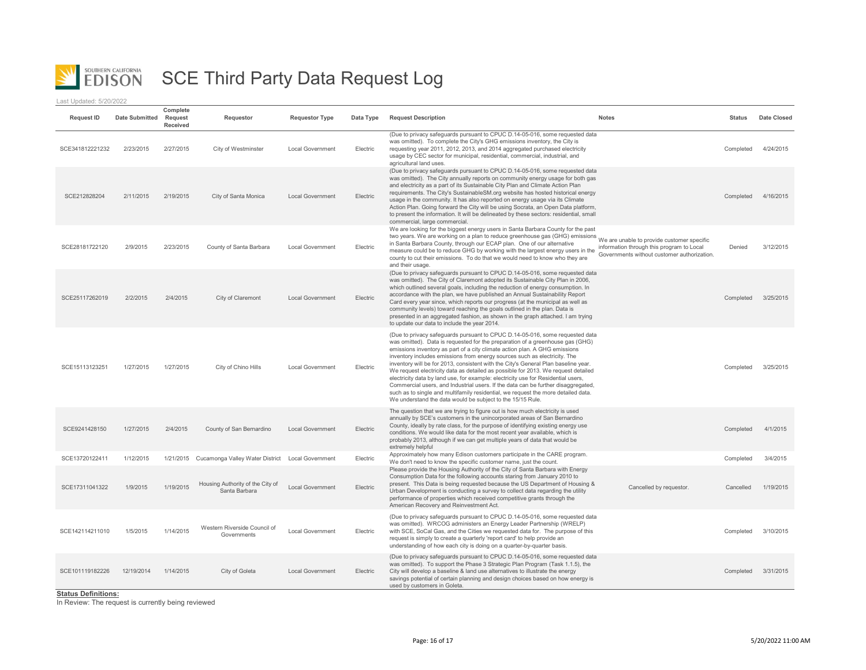

Last Updated: 5/20/2022

| <b>Request ID</b> | <b>Date Submitted</b> | Complete<br>Request<br>Received | Requestor                                                  | <b>Requestor Type</b>   | Data Type | <b>Request Description</b>                                                                                                                                                                                                                                                                                                                                                                                                                                                                                                                                                                                                                                                                                                                                                                                                       | <b>Notes</b>                                                                             | <b>Status</b> | <b>Date Closed</b> |
|-------------------|-----------------------|---------------------------------|------------------------------------------------------------|-------------------------|-----------|----------------------------------------------------------------------------------------------------------------------------------------------------------------------------------------------------------------------------------------------------------------------------------------------------------------------------------------------------------------------------------------------------------------------------------------------------------------------------------------------------------------------------------------------------------------------------------------------------------------------------------------------------------------------------------------------------------------------------------------------------------------------------------------------------------------------------------|------------------------------------------------------------------------------------------|---------------|--------------------|
| SCE341812221232   | 2/23/2015             | 2/27/2015                       | City of Westminster                                        | <b>Local Government</b> | Electric  | (Due to privacy safeguards pursuant to CPUC D.14-05-016, some requested data<br>was omitted). To complete the City's GHG emissions inventory, the City is<br>requesting year 2011, 2012, 2013, and 2014 aggregated purchased electricity<br>usage by CEC sector for municipal, residential, commercial, industrial, and<br>agricultural land uses                                                                                                                                                                                                                                                                                                                                                                                                                                                                                |                                                                                          | Completed     | 4/24/2015          |
| SCE212828204      | 2/11/2015             | 2/19/2015                       | City of Santa Monica                                       | <b>Local Government</b> | Electric  | (Due to privacy safequards pursuant to CPUC D.14-05-016, some requested data<br>was omitted). The City annually reports on community energy usage for both gas<br>and electricity as a part of its Sustainable City Plan and Climate Action Plan<br>requirements. The City's SustainableSM.org website has hosted historical energy<br>usage in the community. It has also reported on energy usage via its Climate<br>Action Plan. Going forward the City will be using Socrata, an Open Data platform,<br>to present the information. It will be delineated by these sectors: residential, small<br>commercial, large commercial.                                                                                                                                                                                              |                                                                                          | Completed     | 4/16/2015          |
| SCE28181722120    | 2/9/2015              | 2/23/2015                       | County of Santa Barbara                                    | <b>Local Government</b> | Electric  | We are looking for the biggest energy users in Santa Barbara County for the past<br>two years. We are working on a plan to reduce greenhouse gas (GHG) emissions We are unable to provide customer specific<br>in Santa Barbara County, through our ECAP plan. One of our alternative<br>measure could be to reduce GHG by working with the largest energy users in the<br>county to cut their emissions. To do that we would need to know who they are<br>and their usage.                                                                                                                                                                                                                                                                                                                                                      | information through this program to Local<br>Governments without customer authorization. | Denied        | 3/12/2015          |
| SCE25117262019    | 2/2/2015              | 2/4/2015                        | City of Claremont                                          | <b>Local Government</b> | Electric  | (Due to privacy safeguards pursuant to CPUC D.14-05-016, some requested data<br>was omitted). The City of Claremont adopted its Sustainable City Plan in 2006,<br>which outlined several goals, including the reduction of energy consumption. In<br>accordance with the plan, we have published an Annual Sustainability Report<br>Card every year since, which reports our progress (at the municipal as well as<br>community levels) toward reaching the goals outlined in the plan. Data is<br>presented in an aggregated fashion, as shown in the graph attached. I am trying<br>to update our data to include the year 2014.                                                                                                                                                                                               |                                                                                          | Completed     | 3/25/2015          |
| SCE15113123251    | 1/27/2015             | 1/27/2015                       | City of Chino Hills                                        | <b>Local Government</b> | Electric  | (Due to privacy safeguards pursuant to CPUC D.14-05-016, some requested data<br>was omitted). Data is requested for the preparation of a greenhouse gas (GHG)<br>emissions inventory as part of a city climate action plan. A GHG emissions<br>inventory includes emissions from energy sources such as electricity. The<br>inventory will be for 2013, consistent with the City's General Plan baseline year.<br>We request electricity data as detailed as possible for 2013. We request detailed<br>electricity data by land use, for example: electricity use for Residential users,<br>Commercial users, and Industrial users. If the data can be further disaggregated,<br>such as to single and multifamily residential, we request the more detailed data.<br>We understand the data would be subject to the 15/15 Rule. |                                                                                          | Completed     | 3/25/2015          |
| SCE9241428150     | 1/27/2015             | 2/4/2015                        | County of San Bernardino                                   | <b>Local Government</b> | Electric  | The question that we are trying to figure out is how much electricity is used<br>annually by SCE's customers in the unincorporated areas of San Bernardino<br>County, ideally by rate class, for the purpose of identifying existing energy use<br>conditions. We would like data for the most recent year available, which is<br>probably 2013, although if we can get multiple years of data that would be<br>extremely helpful                                                                                                                                                                                                                                                                                                                                                                                                |                                                                                          | Completed     | 4/1/2015           |
| SCE13720122411    | 1/12/2015             |                                 | 1/21/2015 Cucamonga Valley Water District Local Government |                         | Electric  | Approximately how many Edison customers participate in the CARE program.<br>We don't need to know the specific customer name, just the count.                                                                                                                                                                                                                                                                                                                                                                                                                                                                                                                                                                                                                                                                                    |                                                                                          | Completed     | 3/4/2015           |
| SCE17311041322    | 1/9/2015              | 1/19/2015                       | Housing Authority of the City of<br>Santa Barbara          | <b>Local Government</b> | Electric  | Please provide the Housing Authority of the City of Santa Barbara with Energy<br>Consumption Data for the following accounts staring from January 2010 to<br>present. This Data is being requested because the US Department of Housing &<br>Urban Development is conducting a survey to collect data regarding the utility<br>performance of properties which received competitive grants through the<br>American Recovery and Reinvestment Act.                                                                                                                                                                                                                                                                                                                                                                                | Cancelled by requestor.                                                                  | Cancelled     | 1/19/2015          |
| SCE142114211010   | 1/5/2015              | 1/14/2015                       | Western Riverside Council of<br>Governments                | <b>Local Government</b> | Electric  | (Due to privacy safeguards pursuant to CPUC D.14-05-016, some requested data<br>was omitted). WRCOG administers an Energy Leader Partnership (WRELP)<br>with SCE, SoCal Gas, and the Cities we requested data for. The purpose of this<br>request is simply to create a quarterly 'report card' to help provide an<br>understanding of how each city is doing on a quarter-by-quarter basis.                                                                                                                                                                                                                                                                                                                                                                                                                                     |                                                                                          | Completed     | 3/10/2015          |
| SCE101119182226   | 12/19/2014            | 1/14/2015                       | City of Goleta                                             | <b>Local Government</b> | Electric  | (Due to privacy safeguards pursuant to CPUC D.14-05-016, some requested data<br>was omitted). To support the Phase 3 Strategic Plan Program (Task 1.1.5), the<br>City will develop a baseline & land use alternatives to illustrate the energy<br>savings potential of certain planning and design choices based on how energy is<br>used by customers in Goleta.                                                                                                                                                                                                                                                                                                                                                                                                                                                                |                                                                                          | Completed     | 3/31/2015          |

**Status Definitions:**

In Review: The request is currently being reviewed